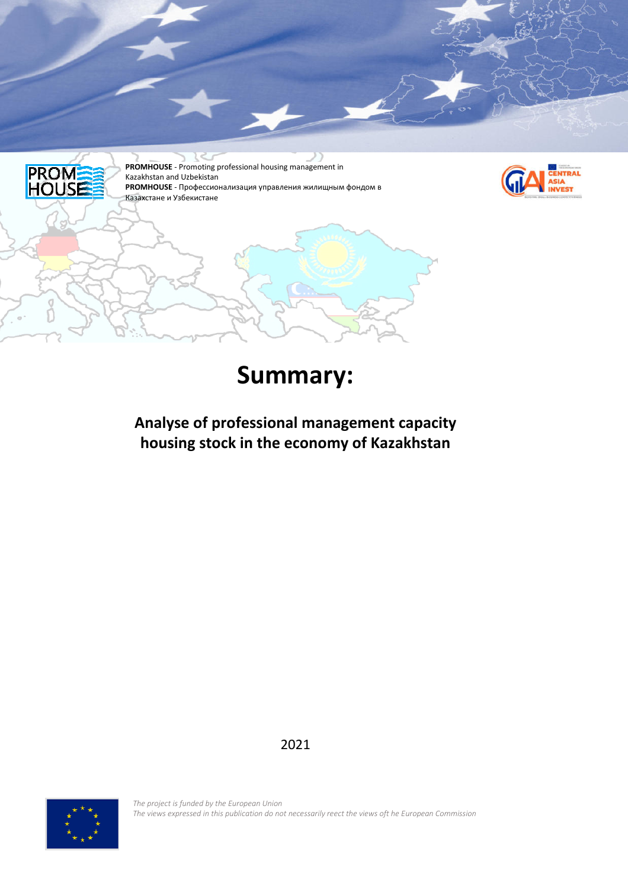

# **Summary:**

# **Analyse of professional management capacity housing stock in the economy of Kazakhstan**

2021



*The project is funded by the European Union The views expressed in this publication do not necessarily reect the views oft he European Commission*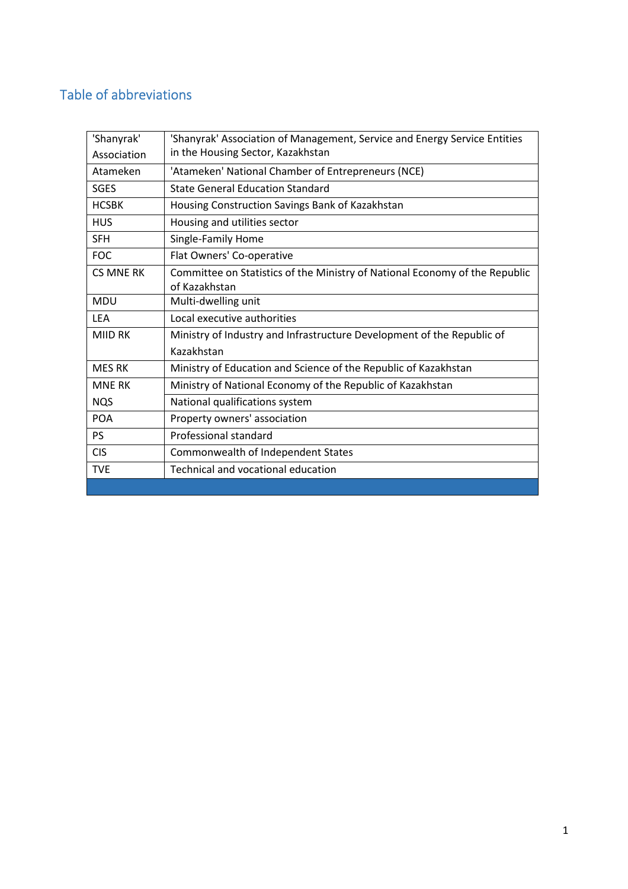# Table of abbreviations

| 'Shanyrak'       | 'Shanyrak' Association of Management, Service and Energy Service Entities   |
|------------------|-----------------------------------------------------------------------------|
| Association      | in the Housing Sector, Kazakhstan                                           |
| Atameken         | 'Atameken' National Chamber of Entrepreneurs (NCE)                          |
| <b>SGES</b>      | <b>State General Education Standard</b>                                     |
| <b>HCSBK</b>     | Housing Construction Savings Bank of Kazakhstan                             |
| <b>HUS</b>       | Housing and utilities sector                                                |
| <b>SFH</b>       | Single-Family Home                                                          |
| <b>FOC</b>       | Flat Owners' Co-operative                                                   |
| <b>CS MNE RK</b> | Committee on Statistics of the Ministry of National Economy of the Republic |
|                  | of Kazakhstan                                                               |
| <b>MDU</b>       | Multi-dwelling unit                                                         |
| <b>LEA</b>       | Local executive authorities                                                 |
| <b>MIID RK</b>   | Ministry of Industry and Infrastructure Development of the Republic of      |
|                  | Kazakhstan                                                                  |
| <b>MES RK</b>    | Ministry of Education and Science of the Republic of Kazakhstan             |
| <b>MNE RK</b>    | Ministry of National Economy of the Republic of Kazakhstan                  |
| <b>NQS</b>       | National qualifications system                                              |
| <b>POA</b>       | Property owners' association                                                |
| <b>PS</b>        | Professional standard                                                       |
| <b>CIS</b>       | Commonwealth of Independent States                                          |
| <b>TVE</b>       | Technical and vocational education                                          |
|                  |                                                                             |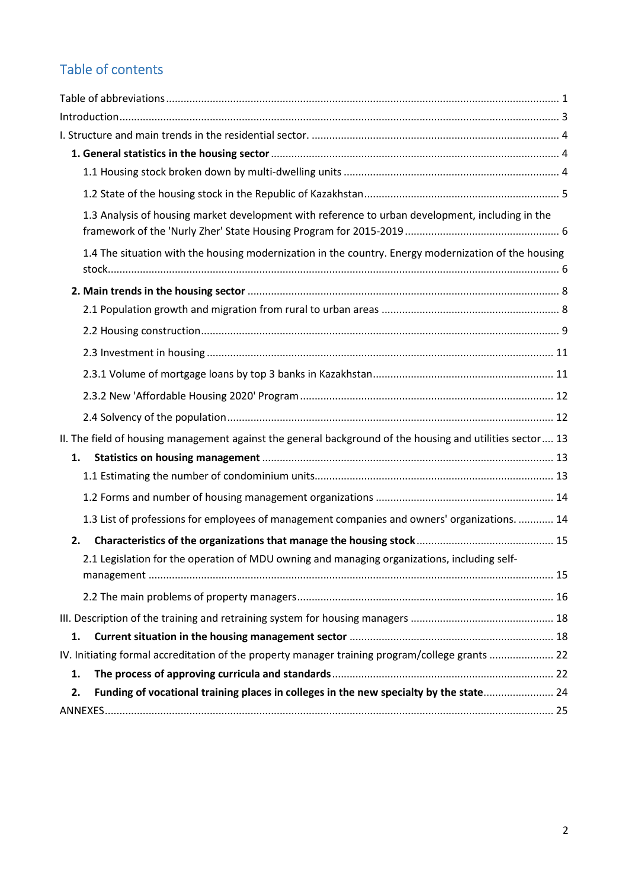# Table of contents

| 1.3 Analysis of housing market development with reference to urban development, including in the          |  |
|-----------------------------------------------------------------------------------------------------------|--|
| 1.4 The situation with the housing modernization in the country. Energy modernization of the housing      |  |
|                                                                                                           |  |
|                                                                                                           |  |
|                                                                                                           |  |
|                                                                                                           |  |
|                                                                                                           |  |
|                                                                                                           |  |
|                                                                                                           |  |
| II. The field of housing management against the general background of the housing and utilities sector 13 |  |
| 1.                                                                                                        |  |
|                                                                                                           |  |
|                                                                                                           |  |
| 1.3 List of professions for employees of management companies and owners' organizations.  14              |  |
| 2.                                                                                                        |  |
| 2.1 Legislation for the operation of MDU owning and managing organizations, including self-               |  |
|                                                                                                           |  |
|                                                                                                           |  |
|                                                                                                           |  |
| 1.                                                                                                        |  |
| IV. Initiating formal accreditation of the property manager training program/college grants  22           |  |
| 1.                                                                                                        |  |
| Funding of vocational training places in colleges in the new specialty by the state 24<br>2.              |  |
|                                                                                                           |  |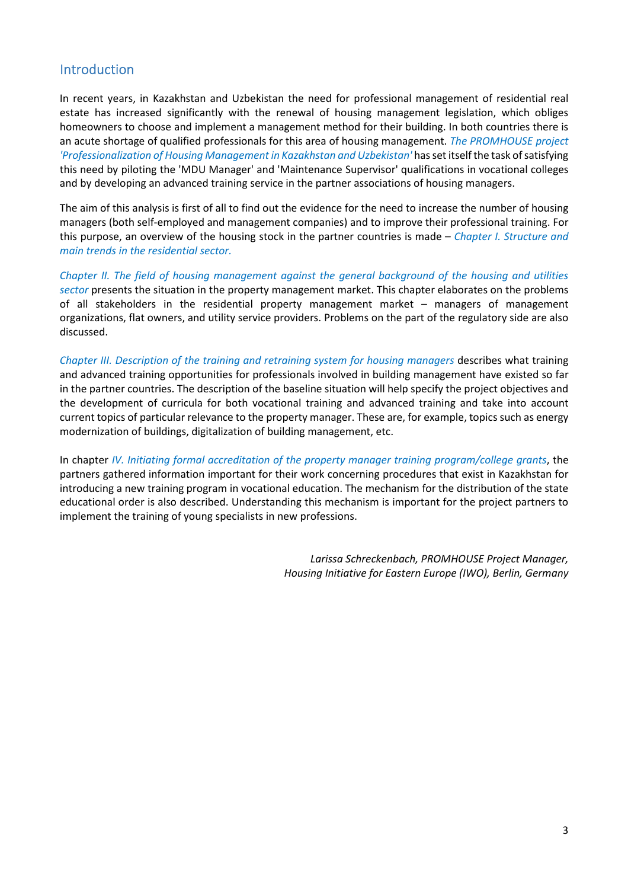### Introduction

In recent years, in Kazakhstan and Uzbekistan the need for professional management of residential real estate has increased significantly with the renewal of housing management legislation, which obliges homeowners to choose and implement a management method for their building. In both countries there is an acute shortage of qualified professionals for this area of housing management. *The PROMHOUSE project 'Professionalization of Housing Management in Kazakhstan and Uzbekistan'* has set itself the task of satisfying this need by piloting the 'MDU Manager' and 'Maintenance Supervisor' qualifications in vocational colleges and by developing an advanced training service in the partner associations of housing managers.

The aim of this analysis is first of all to find out the evidence for the need to increase the number of housing managers (both self-employed and management companies) and to improve their professional training. For this purpose, an overview of the housing stock in the partner countries is made – *Chapter I. Structure and main trends in the residential sector.* 

*Chapter II. The field of housing management against the general background of the housing and utilities sector* presents the situation in the property management market. This chapter elaborates on the problems of all stakeholders in the residential property management market – managers of management organizations, flat owners, and utility service providers. Problems on the part of the regulatory side are also discussed.

*Chapter III. Description of the training and retraining system for housing managers describes what training* and advanced training opportunities for professionals involved in building management have existed so far in the partner countries. The description of the baseline situation will help specify the project objectives and the development of curricula for both vocational training and advanced training and take into account current topics of particular relevance to the property manager. These are, for example, topics such as energy modernization of buildings, digitalization of building management, etc.

In chapter *IV. Initiating formal accreditation of the property manager training program/college grants*, the partners gathered information important for their work concerning procedures that exist in Kazakhstan for introducing a new training program in vocational education. The mechanism for the distribution of the state educational order is also described. Understanding this mechanism is important for the project partners to implement the training of young specialists in new professions.

> *Larissa Schreckenbach, PROMHOUSE Project Manager, Housing Initiative for Eastern Europe (IWO), Berlin, Germany*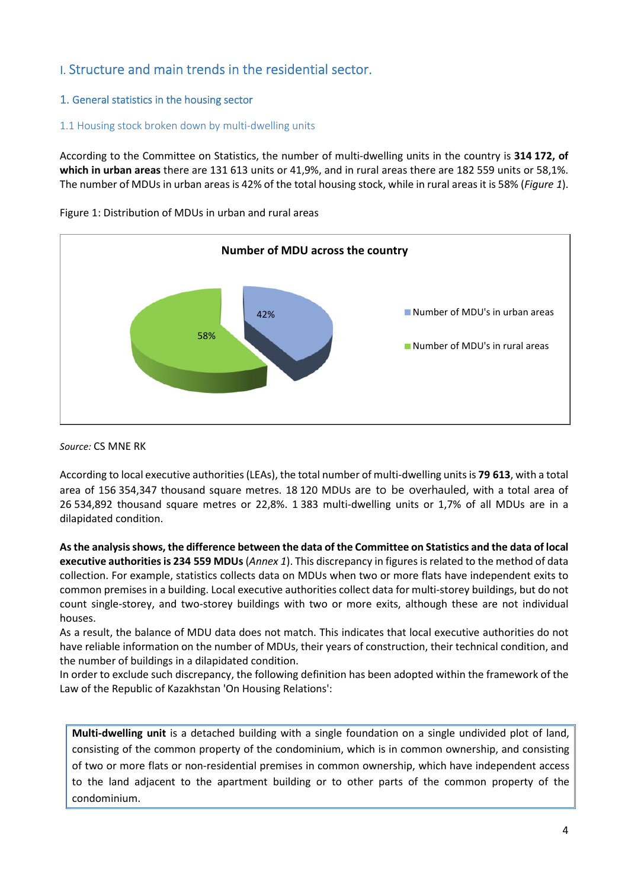### I. Structure and main trends in the residential sector.

#### 1. General statistics in the housing sector

#### 1.1 Housing stock broken down by multi-dwelling units

According to the Committee on Statistics, the number of multi-dwelling units in the country is **314 172, of which in urban areas** there are 131 613 units or 41,9%, and in rural areas there are 182 559 units or 58,1%. The number of MDUs in urban areas is 42% of the total housing stock, while in rural areas it is 58% (*Figure 1*).



Figure 1: Distribution of MDUs in urban and rural areas

*Source:* CS MNE RK

According to local executive authorities (LEAs), the total number of multi-dwelling units is **79 613**, with a total area of 156 354,347 thousand square metres. 18 120 MDUs are to be overhauled, with a total area of 26 534,892 thousand square metres or 22,8%. 1 383 multi-dwelling units or 1,7% of all MDUs are in a dilapidated condition.

**As the analysis shows, the difference between the data of the Committee on Statistics and the data of local executive authorities is 234 559 MDUs** (*Annex 1*). This discrepancy in figures is related to the method of data collection. For example, statistics collects data on MDUs when two or more flats have independent exits to common premises in a building. Local executive authorities collect data for multi-storey buildings, but do not count single-storey, and two-storey buildings with two or more exits, although these are not individual houses.

As a result, the balance of MDU data does not match. This indicates that local executive authorities do not have reliable information on the number of MDUs, their years of construction, their technical condition, and the number of buildings in a dilapidated condition.

In order to exclude such discrepancy, the following definition has been adopted within the framework of the Law of the Republic of Kazakhstan 'On Housing Relations':

**Multi-dwelling unit** is a detached building with a single foundation on a single undivided plot of land, consisting of the common property of the condominium, which is in common ownership, and consisting of two or more flats or non-residential premises in common ownership, which have independent access to the land adjacent to the apartment building or to other parts of the common property of the condominium.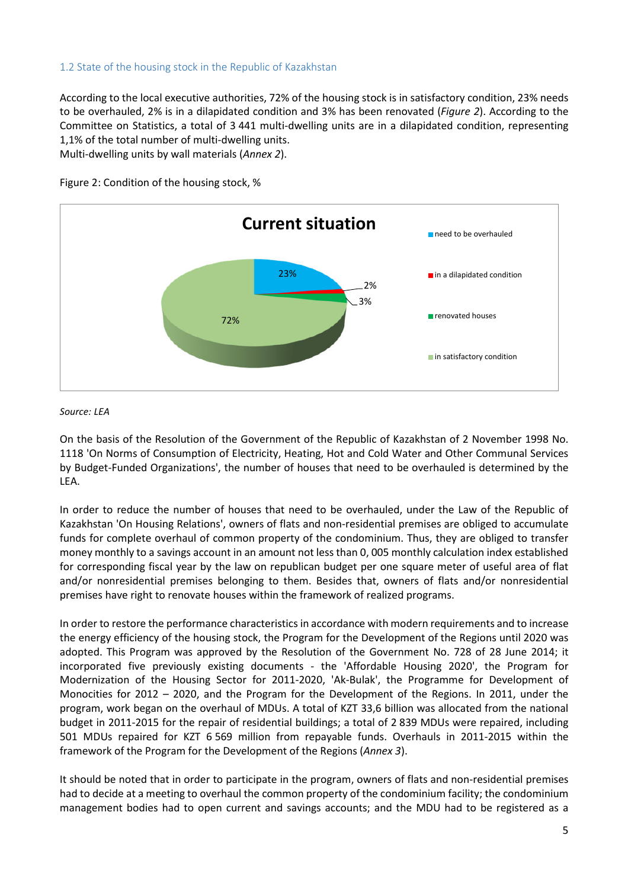#### 1.2 State of the housing stock in the Republic of Kazakhstan

According to the local executive authorities, 72% of the housing stock is in satisfactory condition, 23% needs to be overhauled, 2% is in a dilapidated condition and 3% has been renovated (*Figure 2*). According to the Committee on Statistics, a total of 3 441 multi-dwelling units are in a dilapidated condition, representing 1,1% of the total number of multi-dwelling units.

Multi-dwelling units by wall materials (*Annex 2*).



Figure 2: Condition of the housing stock, %

#### *Source: LEA*

On the basis of the Resolution of the Government of the Republic of Kazakhstan of 2 November 1998 No. 1118 'On Norms of Consumption of Electricity, Heating, Hot and Cold Water and Other Communal Services by Budget-Funded Organizations', the number of houses that need to be overhauled is determined by the LEA.

In order to reduce the number of houses that need to be overhauled, under the Law of the Republic of Kazakhstan 'On Housing Relations', owners of flats and non-residential premises are obliged to accumulate funds for complete overhaul of common property of the condominium. Thus, they are obliged to transfer money monthly to a savings account in an amount not less than 0, 005 monthly calculation index established for corresponding fiscal year by the law on republican budget per one square meter of useful area of flat and/or nonresidential premises belonging to them. Besides that, owners of flats and/or nonresidential premises have right to renovate houses within the framework of realized programs.

In order to restore the performance characteristics in accordance with modern requirements and to increase the energy efficiency of the housing stock, the Program for the Development of the Regions until 2020 was adopted. This Program was approved by the Resolution of the Government No. 728 of 28 June 2014; it incorporated five previously existing documents - the 'Affordable Housing 2020', the Program for Modernization of the Housing Sector for 2011-2020, 'Ak-Bulak', the Programme for Development of Monocities for 2012 – 2020, and the Program for the Development of the Regions. In 2011, under the program, work began on the overhaul of MDUs. A total of KZT 33,6 billion was allocated from the national budget in 2011-2015 for the repair of residential buildings; a total of 2 839 MDUs were repaired, including 501 MDUs repaired for KZT 6 569 million from repayable funds. Overhauls in 2011-2015 within the framework of the Program for the Development of the Regions (*Annex 3*).

It should be noted that in order to participate in the program, owners of flats and non-residential premises had to decide at a meeting to overhaul the common property of the condominium facility; the condominium management bodies had to open current and savings accounts; and the MDU had to be registered as a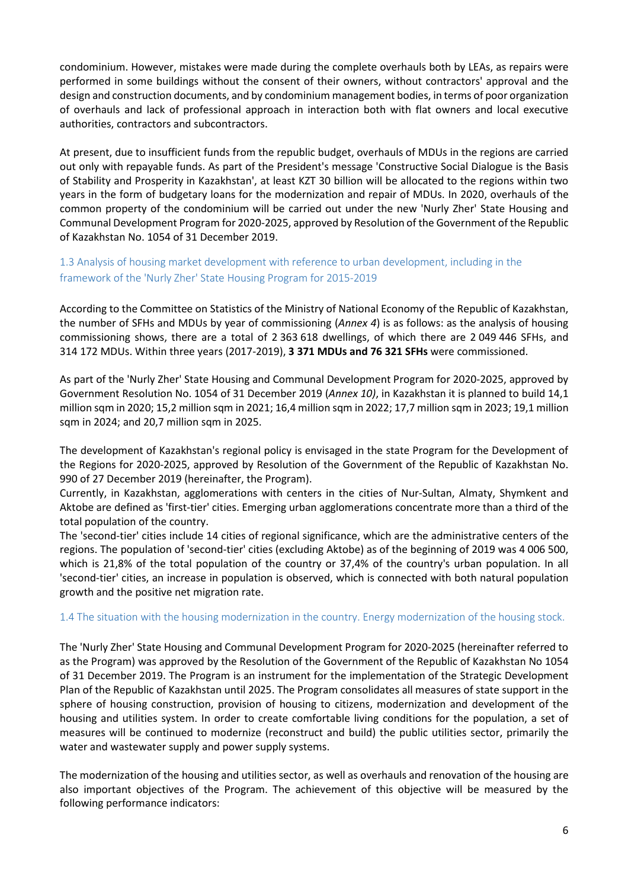condominium. However, mistakes were made during the complete overhauls both by LEAs, as repairs were performed in some buildings without the consent of their owners, without contractors' approval and the design and construction documents, and by condominium management bodies, in terms of poor organization of overhauls and lack of professional approach in interaction both with flat owners and local executive authorities, contractors and subcontractors.

At present, due to insufficient funds from the republic budget, overhauls of MDUs in the regions are carried out only with repayable funds. As part of the President's message 'Constructive Social Dialogue is the Basis of Stability and Prosperity in Kazakhstan', at least KZT 30 billion will be allocated to the regions within two years in the form of budgetary loans for the modernization and repair of MDUs. In 2020, overhauls of the common property of the condominium will be carried out under the new 'Nurly Zher' State Housing and Communal Development Program for 2020-2025, approved by Resolution of the Government of the Republic of Kazakhstan No. 1054 of 31 December 2019.

1.3 Analysis of housing market development with reference to urban development, including in the framework of the 'Nurly Zher' State Housing Program for 2015-2019

According to the Committee on Statistics of the Ministry of National Economy of the Republic of Kazakhstan, the number of SFHs and MDUs by year of commissioning (*Annex 4*) is as follows: as the analysis of housing commissioning shows, there are a total of 2 363 618 dwellings, of which there are 2 049 446 SFHs, and 314 172 MDUs. Within three years (2017-2019), **3 371 MDUs and 76 321 SFHs** were commissioned.

As part of the 'Nurly Zher' State Housing and Communal Development Program for 2020-2025, approved by Government Resolution No. 1054 of 31 December 2019 (*Annex 10)*, in Kazakhstan it is planned to build 14,1 million sqm in 2020; 15,2 million sqm in 2021; 16,4 million sqm in 2022; 17,7 million sqm in 2023; 19,1 million sqm in 2024; and 20,7 million sqm in 2025.

The development of Kazakhstan's regional policy is envisaged in the state Program for the Development of the Regions for 2020-2025, approved by Resolution of the Government of the Republic of Kazakhstan No. 990 of 27 December 2019 (hereinafter, the Program).

Currently, in Kazakhstan, agglomerations with centers in the cities of Nur-Sultan, Almaty, Shymkent and Aktobe are defined as 'first-tier' cities. Emerging urban agglomerations concentrate more than a third of the total population of the country.

The 'second-tier' cities include 14 cities of regional significance, which are the administrative centers of the regions. The population of 'second-tier' cities (excluding Aktobe) as of the beginning of 2019 was 4 006 500, which is 21,8% of the total population of the country or 37,4% of the country's urban population. In all 'second-tier' cities, an increase in population is observed, which is connected with both natural population growth and the positive net migration rate.

#### 1.4 The situation with the housing modernization in the country. Energy modernization of the housing stock.

The 'Nurly Zher' State Housing and Communal Development Program for 2020-2025 (hereinafter referred to as the Program) was approved by the Resolution of the Government of the Republic of Kazakhstan No 1054 of 31 December 2019. The Program is an instrument for the implementation of the Strategic Development Plan of the Republic of Kazakhstan until 2025. The Program consolidates all measures of state support in the sphere of housing construction, provision of housing to citizens, modernization and development of the housing and utilities system. In order to create comfortable living conditions for the population, a set of measures will be continued to modernize (reconstruct and build) the public utilities sector, primarily the water and wastewater supply and power supply systems.

The modernization of the housing and utilities sector, as well as overhauls and renovation of the housing are also important objectives of the Program. The achievement of this objective will be measured by the following performance indicators: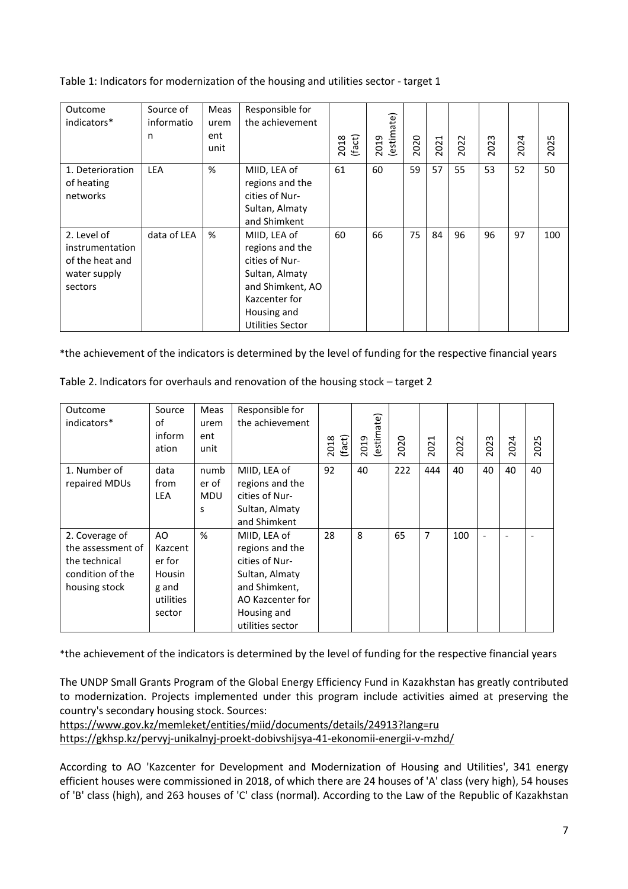Table 1: Indicators for modernization of the housing and utilities sector - target 1

| Outcome<br>indicators*                                                       | Source of<br>informatio<br>n | Meas<br>urem<br>ent<br>unit | Responsible for<br>the achievement                                                                                                                 | (fact)<br>2018 | (estimate)<br>2019 | 2020 | 2021 | 2022 | 2023 | 2024 | 2025 |
|------------------------------------------------------------------------------|------------------------------|-----------------------------|----------------------------------------------------------------------------------------------------------------------------------------------------|----------------|--------------------|------|------|------|------|------|------|
| 1. Deterioration<br>of heating<br>networks                                   | <b>LEA</b>                   | %                           | MIID, LEA of<br>regions and the<br>cities of Nur-<br>Sultan, Almaty<br>and Shimkent                                                                | 61             | 60                 | 59   | 57   | 55   | 53   | 52   | 50   |
| 2. Level of<br>instrumentation<br>of the heat and<br>water supply<br>sectors | data of LEA                  | %                           | MIID, LEA of<br>regions and the<br>cities of Nur-<br>Sultan, Almaty<br>and Shimkent, AO<br>Kazcenter for<br>Housing and<br><b>Utilities Sector</b> | 60             | 66                 | 75   | 84   | 96   | 96   | 97   | 100  |

\*the achievement of the indicators is determined by the level of funding for the respective financial years

| Outcome           | Source        | Meas       | Responsible for  |                |            |      |      |      |      |      |      |
|-------------------|---------------|------------|------------------|----------------|------------|------|------|------|------|------|------|
| indicators*       | οf            | urem       | the achievement  |                | (estimate) |      |      |      |      |      |      |
|                   | inform        | ent        |                  |                |            |      |      |      |      |      |      |
|                   | ation         | unit       |                  | (fact)<br>2018 | 2019       | 2020 | 2021 | 2022 | 2023 | 2024 | 2025 |
| 1. Number of      | data          | numb       | MIID, LEA of     | 92             | 40         | 222  | 444  | 40   | 40   | 40   | 40   |
| repaired MDUs     | from          | er of      | regions and the  |                |            |      |      |      |      |      |      |
|                   | <b>LEA</b>    | <b>MDU</b> | cities of Nur-   |                |            |      |      |      |      |      |      |
|                   |               | S          | Sultan, Almaty   |                |            |      |      |      |      |      |      |
|                   |               |            | and Shimkent     |                |            |      |      |      |      |      |      |
| 2. Coverage of    | AO.           | %          | MIID, LEA of     | 28             | 8          | 65   | 7    | 100  | ٠    | ۰    |      |
| the assessment of | Kazcent       |            | regions and the  |                |            |      |      |      |      |      |      |
| the technical     | er for        |            | cities of Nur-   |                |            |      |      |      |      |      |      |
| condition of the  | <b>Housin</b> |            | Sultan, Almaty   |                |            |      |      |      |      |      |      |
| housing stock     | g and         |            | and Shimkent,    |                |            |      |      |      |      |      |      |
|                   | utilities     |            | AO Kazcenter for |                |            |      |      |      |      |      |      |
|                   | sector        |            | Housing and      |                |            |      |      |      |      |      |      |
|                   |               |            | utilities sector |                |            |      |      |      |      |      |      |

Table 2. Indicators for overhauls and renovation of the housing stock – target 2

\*the achievement of the indicators is determined by the level of funding for the respective financial years

The UNDP Small Grants Program of the Global Energy Efficiency Fund in Kazakhstan has greatly contributed to modernization. Projects implemented under this program include activities aimed at preserving the country's secondary housing stock. Sources:

https://www.gov.kz/memleket/entities/miid/documents/details/24913?lang=ru https://gkhsp.kz/pervyj-unikalnyj-proekt-dobivshijsya-41-ekonomii-energii-v-mzhd/

According to AO 'Kazcenter for Development and Modernization of Housing and Utilities', 341 energy efficient houses were commissioned in 2018, of which there are 24 houses of 'A' class (very high), 54 houses of 'B' class (high), and 263 houses of 'C' class (normal). According to the Law of the Republic of Kazakhstan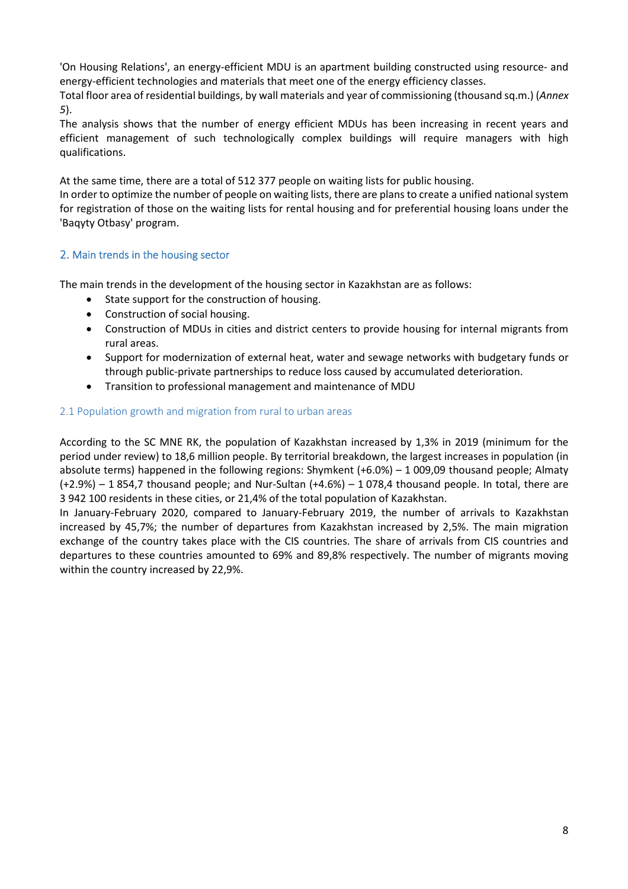'On Housing Relations', an energy-efficient MDU is an apartment building constructed using resource- and energy-efficient technologies and materials that meet one of the energy efficiency classes.

Total floor area of residential buildings, by wall materials and year of commissioning (thousand sq.m.) (*Annex 5*).

The analysis shows that the number of energy efficient MDUs has been increasing in recent years and efficient management of such technologically complex buildings will require managers with high qualifications.

At the same time, there are a total of 512 377 people on waiting lists for public housing.

In order to optimize the number of people on waiting lists, there are plans to create a unified national system for registration of those on the waiting lists for rental housing and for preferential housing loans under the 'Baqyty Otbasy' program.

#### 2. Main trends in the housing sector

The main trends in the development of the housing sector in Kazakhstan are as follows:

- State support for the construction of housing.
- Construction of social housing.
- Construction of MDUs in cities and district centers to provide housing for internal migrants from rural areas.
- Support for modernization of external heat, water and sewage networks with budgetary funds or through public-private partnerships to reduce loss caused by accumulated deterioration.
- Transition to professional management and maintenance of MDU

#### 2.1 Population growth and migration from rural to urban areas

According to the SC MNE RK, the population of Kazakhstan increased by 1,3% in 2019 (minimum for the period under review) to 18,6 million people. By territorial breakdown, the largest increases in population (in absolute terms) happened in the following regions: Shymkent (+6.0%) – 1 009,09 thousand people; Almaty (+2.9%) – 1 854,7 thousand people; and Nur-Sultan (+4.6%) – 1 078,4 thousand people. In total, there are 3 942 100 residents in these cities, or 21,4% of the total population of Kazakhstan.

In January-February 2020, compared to January-February 2019, the number of arrivals to Kazakhstan increased by 45,7%; the number of departures from Kazakhstan increased by 2,5%. The main migration exchange of the country takes place with the CIS countries. The share of arrivals from CIS countries and departures to these countries amounted to 69% and 89,8% respectively. The number of migrants moving within the country increased by 22,9%.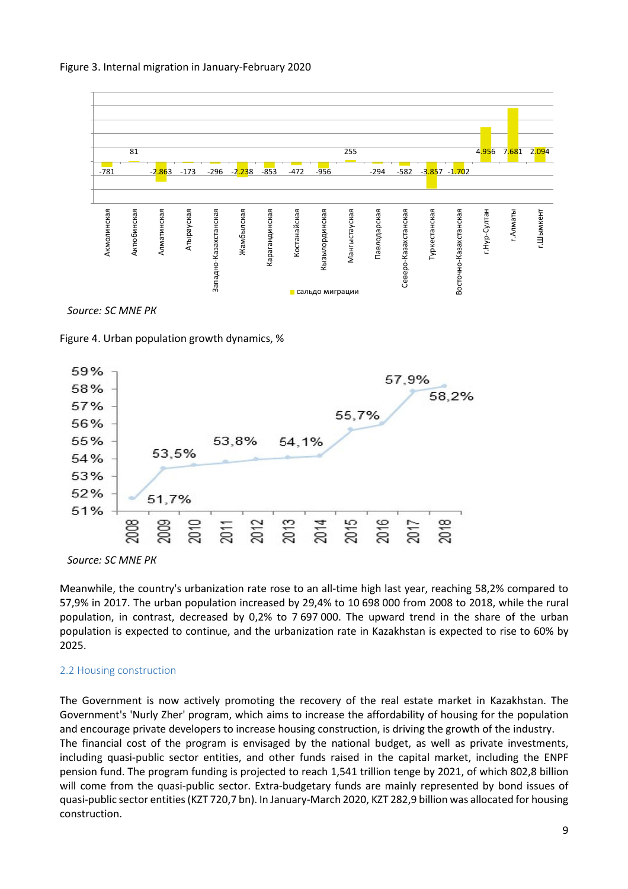



Figure 4. Urban population growth dynamics, %



*Source: SC MNE РК* 

Meanwhile, the country's urbanization rate rose to an all-time high last year, reaching 58,2% compared to 57,9% in 2017. The urban population increased by 29,4% to 10 698 000 from 2008 to 2018, while the rural population, in contrast, decreased by 0,2% to 7 697 000. The upward trend in the share of the urban population is expected to continue, and the urbanization rate in Kazakhstan is expected to rise to 60% by 2025.

#### 2.2 Housing construction

The Government is now actively promoting the recovery of the real estate market in Kazakhstan. The Government's 'Nurly Zher' program, which aims to increase the affordability of housing for the population and encourage private developers to increase housing construction, is driving the growth of the industry. The financial cost of the program is envisaged by the national budget, as well as private investments, including quasi-public sector entities, and other funds raised in the capital market, including the ENPF pension fund. The program funding is projected to reach 1,541 trillion tenge by 2021, of which 802,8 billion will come from the quasi-public sector. Extra-budgetary funds are mainly represented by bond issues of quasi-public sector entities (KZT 720,7 bn). In January-March 2020, KZT 282,9 billion was allocated for housing construction.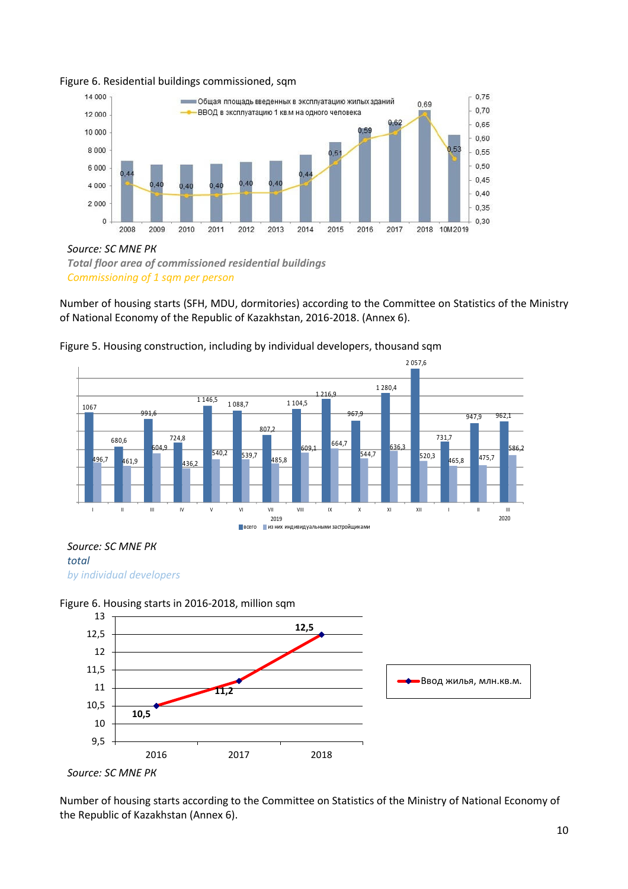

#### Figure 6. Residential buildings commissioned, sqm

*Source: SC MNE РК Total floor area of commissioned residential buildings Commissioning of 1 sqm per person* 

Number of housing starts (SFH, MDU, dormitories) according to the Committee on Statistics of the Ministry of National Economy of the Republic of Kazakhstan, 2016-2018. (Annex 6).



Figure 5. Housing construction, including by individual developers, thousand sqm

*Source: SC MNE РК total by individual developers* 





Number of housing starts according to the Committee on Statistics of the Ministry of National Economy of the Republic of Kazakhstan (Annex 6).

*Source: SC MNE РК*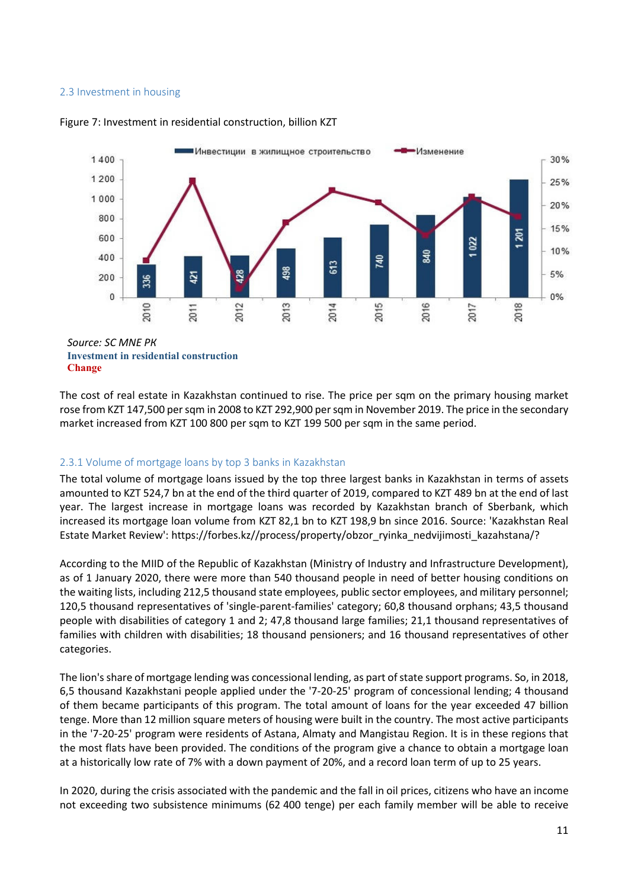#### 2.3 Investment in housing



#### Figure 7: Investment in residential construction, billion KZT

**Investment in residential construction Change**

The cost of real estate in Kazakhstan continued to rise. The price per sqm on the primary housing market rose from KZT 147,500 per sqm in 2008 to KZT 292,900 per sqm in November 2019. The price in the secondary market increased from KZT 100 800 per sqm to KZT 199 500 per sqm in the same period.

#### 2.3.1 Volume of mortgage loans by top 3 banks in Kazakhstan

The total volume of mortgage loans issued by the top three largest banks in Kazakhstan in terms of assets amounted to KZT 524,7 bn at the end of the third quarter of 2019, compared to KZT 489 bn at the end of last year. The largest increase in mortgage loans was recorded by Kazakhstan branch of Sberbank, which increased its mortgage loan volume from KZT 82,1 bn to KZT 198,9 bn since 2016. Source: 'Kazakhstan Real Estate Market Review': https://forbes.kz//process/property/obzor\_ryinka\_nedvijimosti\_kazahstana/?

According to the MIID of the Republic of Kazakhstan (Ministry of Industry and Infrastructure Development), as of 1 January 2020, there were more than 540 thousand people in need of better housing conditions on the waiting lists, including 212,5 thousand state employees, public sector employees, and military personnel; 120,5 thousand representatives of 'single-parent-families' category; 60,8 thousand orphans; 43,5 thousand people with disabilities of category 1 and 2; 47,8 thousand large families; 21,1 thousand representatives of families with children with disabilities; 18 thousand pensioners; and 16 thousand representatives of other categories.

The lion's share of mortgage lending was concessional lending, as part of state support programs. So, in 2018, 6,5 thousand Kazakhstani people applied under the '7-20-25' program of concessional lending; 4 thousand of them became participants of this program. The total amount of loans for the year exceeded 47 billion tenge. More than 12 million square meters of housing were built in the country. The most active participants in the '7-20-25' program were residents of Astana, Almaty and Mangistau Region. It is in these regions that the most flats have been provided. The conditions of the program give a chance to obtain a mortgage loan at a historically low rate of 7% with a down payment of 20%, and a record loan term of up to 25 years.

In 2020, during the crisis associated with the pandemic and the fall in oil prices, citizens who have an income not exceeding two subsistence minimums (62 400 tenge) per each family member will be able to receive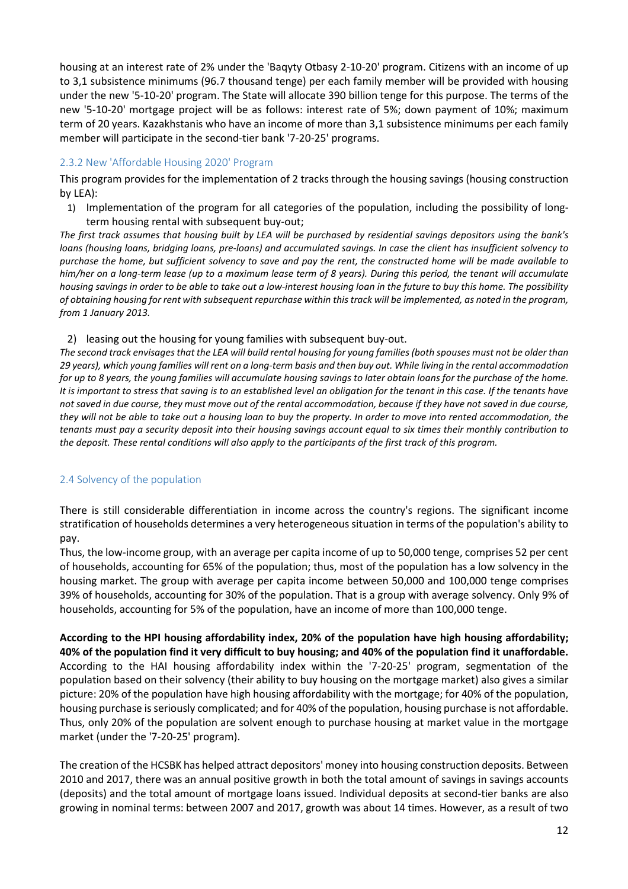housing at an interest rate of 2% under the 'Baqyty Otbasy 2-10-20' program. Citizens with an income of up to 3,1 subsistence minimums (96.7 thousand tenge) per each family member will be provided with housing under the new '5-10-20' program. The State will allocate 390 billion tenge for this purpose. The terms of the new '5-10-20' mortgage project will be as follows: interest rate of 5%; down payment of 10%; maximum term of 20 years. Kazakhstanis who have an income of more than 3,1 subsistence minimums per each family member will participate in the second-tier bank '7-20-25' programs.

#### 2.3.2 New 'Affordable Housing 2020' Program

This program provides for the implementation of 2 tracks through the housing savings (housing construction by LEA):

1) Implementation of the program for all categories of the population, including the possibility of longterm housing rental with subsequent buy-out;

*The first track assumes that housing built by LEA will be purchased by residential savings depositors using the bank's loans (housing loans, bridging loans, pre-loans) and accumulated savings. In case the client has insufficient solvency to purchase the home, but sufficient solvency to save and pay the rent, the constructed home will be made available to him/her on a long-term lease (up to a maximum lease term of 8 years). During this period, the tenant will accumulate housing savings in order to be able to take out a low-interest housing loan in the future to buy this home. The possibility of obtaining housing for rent with subsequent repurchase within this track will be implemented, as noted in the program, from 1 January 2013.* 

2) leasing out the housing for young families with subsequent buy-out.

*The second track envisages that the LEA will build rental housing for young families (both spouses must not be older than 29 years), which young families will rent on a long-term basis and then buy out. While living in the rental accommodation for up to 8 years, the young families will accumulate housing savings to later obtain loans for the purchase of the home. It is important to stress that saving is to an established level an obligation for the tenant in this case. If the tenants have not saved in due course, they must move out of the rental accommodation, because if they have not saved in due course, they will not be able to take out a housing loan to buy the property. In order to move into rented accommodation, the tenants must pay a security deposit into their housing savings account equal to six times their monthly contribution to the deposit. These rental conditions will also apply to the participants of the first track of this program.* 

#### 2.4 Solvency of the population

There is still considerable differentiation in income across the country's regions. The significant income stratification of households determines a very heterogeneous situation in terms of the population's ability to pay.

Thus, the low-income group, with an average per capita income of up to 50,000 tenge, comprises 52 per cent of households, accounting for 65% of the population; thus, most of the population has a low solvency in the housing market. The group with average per capita income between 50,000 and 100,000 tenge comprises 39% of households, accounting for 30% of the population. That is a group with average solvency. Only 9% of households, accounting for 5% of the population, have an income of more than 100,000 tenge.

**According to the HPI housing affordability index, 20% of the population have high housing affordability; 40% of the population find it very difficult to buy housing; and 40% of the population find it unaffordable.**  According to the HAI housing affordability index within the '7-20-25' program, segmentation of the population based on their solvency (their ability to buy housing on the mortgage market) also gives a similar picture: 20% of the population have high housing affordability with the mortgage; for 40% of the population, housing purchase is seriously complicated; and for 40% of the population, housing purchase is not affordable. Thus, only 20% of the population are solvent enough to purchase housing at market value in the mortgage market (under the '7-20-25' program).

The creation of the HCSBK has helped attract depositors' money into housing construction deposits. Between 2010 and 2017, there was an annual positive growth in both the total amount of savings in savings accounts (deposits) and the total amount of mortgage loans issued. Individual deposits at second-tier banks are also growing in nominal terms: between 2007 and 2017, growth was about 14 times. However, as a result of two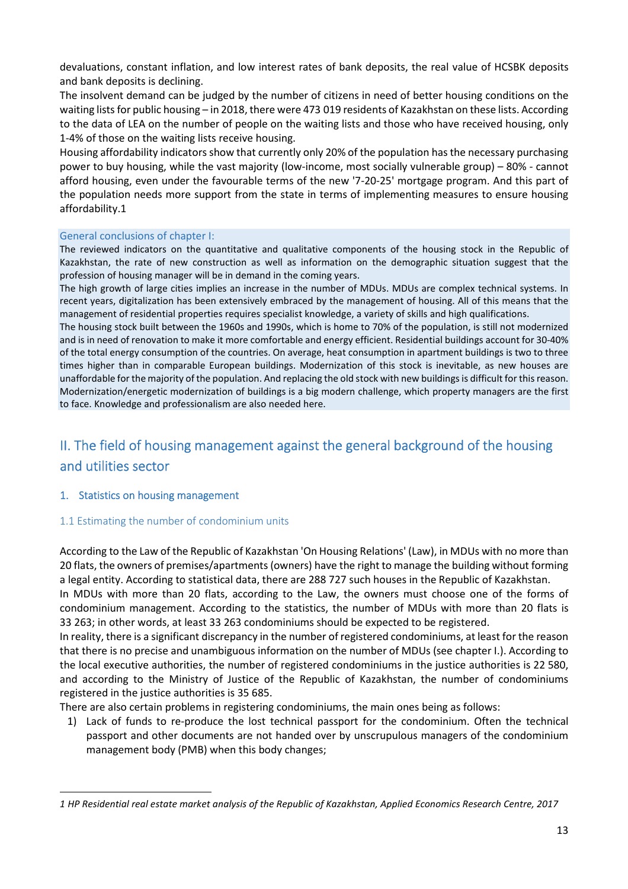devaluations, constant inflation, and low interest rates of bank deposits, the real value of HCSBK deposits and bank deposits is declining.

The insolvent demand can be judged by the number of citizens in need of better housing conditions on the waiting lists for public housing – in 2018, there were 473 019 residents of Kazakhstan on these lists. According to the data of LEA on the number of people on the waiting lists and those who have received housing, only 1-4% of those on the waiting lists receive housing.

Housing affordability indicators show that currently only 20% of the population has the necessary purchasing power to buy housing, while the vast majority (low-income, most socially vulnerable group) – 80% - cannot afford housing, even under the favourable terms of the new '7-20-25' mortgage program. And this part of the population needs more support from the state in terms of implementing measures to ensure housing affordability.1

#### General conclusions of chapter I:

The reviewed indicators on the quantitative and qualitative components of the housing stock in the Republic of Kazakhstan, the rate of new construction as well as information on the demographic situation suggest that the profession of housing manager will be in demand in the coming years.

The high growth of large cities implies an increase in the number of MDUs. MDUs are complex technical systems. In recent years, digitalization has been extensively embraced by the management of housing. All of this means that the management of residential properties requires specialist knowledge, a variety of skills and high qualifications.

The housing stock built between the 1960s and 1990s, which is home to 70% of the population, is still not modernized and is in need of renovation to make it more comfortable and energy efficient. Residential buildings account for 30-40% of the total energy consumption of the countries. On average, heat consumption in apartment buildings is two to three times higher than in comparable European buildings. Modernization of this stock is inevitable, as new houses are unaffordable for the majority of the population. And replacing the old stock with new buildings is difficult for this reason. Modernization/energetic modernization of buildings is a big modern challenge, which property managers are the first to face. Knowledge and professionalism are also needed here.

# II. The field of housing management against the general background of the housing and utilities sector

#### 1. Statistics on housing management

#### 1.1 Estimating the number of condominium units

According to the Law of the Republic of Kazakhstan 'On Housing Relations' (Law), in MDUs with no more than 20 flats, the owners of premises/apartments (owners) have the right to manage the building without forming a legal entity. According to statistical data, there are 288 727 such houses in the Republic of Kazakhstan.

In MDUs with more than 20 flats, according to the Law, the owners must choose one of the forms of condominium management. According to the statistics, the number of MDUs with more than 20 flats is 33 263; in other words, at least 33 263 condominiums should be expected to be registered.

In reality, there is a significant discrepancy in the number of registered condominiums, at least for the reason that there is no precise and unambiguous information on the number of MDUs (see chapter I.). According to the local executive authorities, the number of registered condominiums in the justice authorities is 22 580, and according to the Ministry of Justice of the Republic of Kazakhstan, the number of condominiums registered in the justice authorities is 35 685.

There are also certain problems in registering condominiums, the main ones being as follows:

1) Lack of funds to re-produce the lost technical passport for the condominium. Often the technical passport and other documents are not handed over by unscrupulous managers of the condominium management body (PMB) when this body changes;

*<sup>1</sup> HP Residential real estate market analysis of the Republic of Kazakhstan, Applied Economics Research Centre, 2017*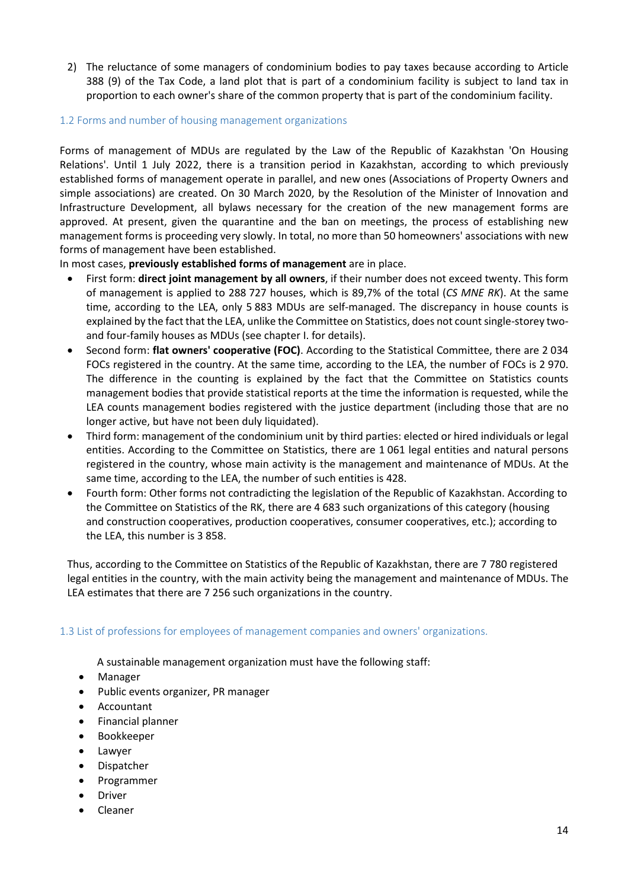2) The reluctance of some managers of condominium bodies to pay taxes because according to Article 388 (9) of the Tax Code, a land plot that is part of a condominium facility is subject to land tax in proportion to each owner's share of the common property that is part of the condominium facility.

#### 1.2 Forms and number of housing management organizations

Forms of management of MDUs are regulated by the Law of the Republic of Kazakhstan 'On Housing Relations'. Until 1 July 2022, there is a transition period in Kazakhstan, according to which previously established forms of management operate in parallel, and new ones (Associations of Property Owners and simple associations) are created. On 30 March 2020, by the Resolution of the Minister of Innovation and Infrastructure Development, all bylaws necessary for the creation of the new management forms are approved. At present, given the quarantine and the ban on meetings, the process of establishing new management forms is proceeding very slowly. In total, no more than 50 homeowners' associations with new forms of management have been established.

In most cases, **previously established forms of management** are in place.

- First form: **direct joint management by all owners**, if their number does not exceed twenty. This form of management is applied to 288 727 houses, which is 89,7% of the total (*CS MNE RK*). At the same time, according to the LEA, only 5 883 MDUs are self-managed. The discrepancy in house counts is explained by the fact that the LEA, unlike the Committee on Statistics, does not count single-storey twoand four-family houses as MDUs (see chapter I. for details).
- Second form: **flat owners' cooperative (FOC)**. According to the Statistical Committee, there are 2 034 FOCs registered in the country. At the same time, according to the LEA, the number of FOCs is 2 970. The difference in the counting is explained by the fact that the Committee on Statistics counts management bodies that provide statistical reports at the time the information is requested, while the LEA counts management bodies registered with the justice department (including those that are no longer active, but have not been duly liquidated).
- Third form: management of the condominium unit by third parties: elected or hired individuals or legal entities. According to the Committee on Statistics, there are 1 061 legal entities and natural persons registered in the country, whose main activity is the management and maintenance of MDUs. At the same time, according to the LEA, the number of such entities is 428.
- Fourth form: Other forms not contradicting the legislation of the Republic of Kazakhstan. According to the Committee on Statistics of the RK, there are 4 683 such organizations of this category (housing and construction cooperatives, production cooperatives, consumer cooperatives, etc.); according to the LEA, this number is 3 858.

Thus, according to the Committee on Statistics of the Republic of Kazakhstan, there are 7 780 registered legal entities in the country, with the main activity being the management and maintenance of MDUs. The LEA estimates that there are 7 256 such organizations in the country.

#### 1.3 List of professions for employees of management companies and owners' organizations.

A sustainable management organization must have the following staff:

- Manager
- Public events organizer, PR manager
- Accountant
- Financial planner
- Bookkeeper
- Lawyer
- Dispatcher
- Programmer
- **•** Driver
- Cleaner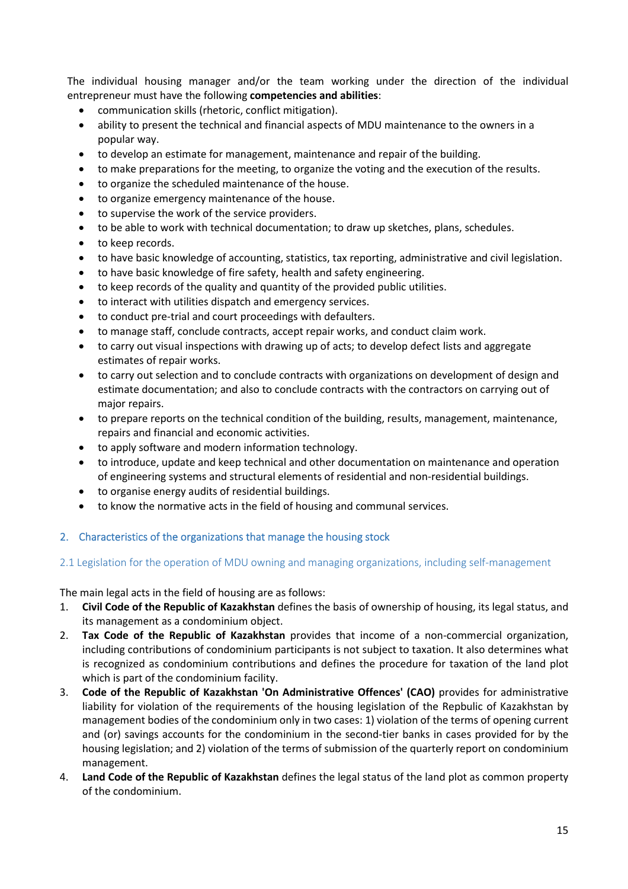The individual housing manager and/or the team working under the direction of the individual entrepreneur must have the following **competencies and abilities**:

- communication skills (rhetoric, conflict mitigation).
- ability to present the technical and financial aspects of MDU maintenance to the owners in a popular way.
- to develop an estimate for management, maintenance and repair of the building.
- to make preparations for the meeting, to organize the voting and the execution of the results.
- to organize the scheduled maintenance of the house.
- to organize emergency maintenance of the house.
- to supervise the work of the service providers.
- to be able to work with technical documentation; to draw up sketches, plans, schedules.
- to keep records.
- to have basic knowledge of accounting, statistics, tax reporting, administrative and civil legislation.
- to have basic knowledge of fire safety, health and safety engineering.
- to keep records of the quality and quantity of the provided public utilities.
- to interact with utilities dispatch and emergency services.
- to conduct pre-trial and court proceedings with defaulters.
- to manage staff, conclude contracts, accept repair works, and conduct claim work.
- to carry out visual inspections with drawing up of acts; to develop defect lists and aggregate estimates of repair works.
- to carry out selection and to conclude contracts with organizations on development of design and estimate documentation; and also to conclude contracts with the contractors on carrying out of major repairs.
- to prepare reports on the technical condition of the building, results, management, maintenance, repairs and financial and economic activities.
- to apply software and modern information technology.
- to introduce, update and keep technical and other documentation on maintenance and operation of engineering systems and structural elements of residential and non-residential buildings.
- to organise energy audits of residential buildings.
- to know the normative acts in the field of housing and communal services.

#### 2. Characteristics of the organizations that manage the housing stock

#### 2.1 Legislation for the operation of MDU owning and managing organizations, including self-management

The main legal acts in the field of housing are as follows:

- 1. **Civil Code of the Republic of Kazakhstan** defines the basis of ownership of housing, its legal status, and its management as a condominium object.
- 2. **Tax Code of the Republic of Kazakhstan** provides that income of a non-commercial organization, including contributions of condominium participants is not subject to taxation. It also determines what is recognized as condominium contributions and defines the procedure for taxation of the land plot which is part of the condominium facility.
- 3. **Code of the Republic of Kazakhstan 'On Administrative Offences' (CAO)** provides for administrative liability for violation of the requirements of the housing legislation of the Repbulic of Kazakhstan by management bodies of the condominium only in two cases: 1) violation of the terms of opening current and (or) savings accounts for the condominium in the second-tier banks in cases provided for by the housing legislation; and 2) violation of the terms of submission of the quarterly report on condominium management.
- 4. **Land Code of the Republic of Kazakhstan** defines the legal status of the land plot as common property of the condominium.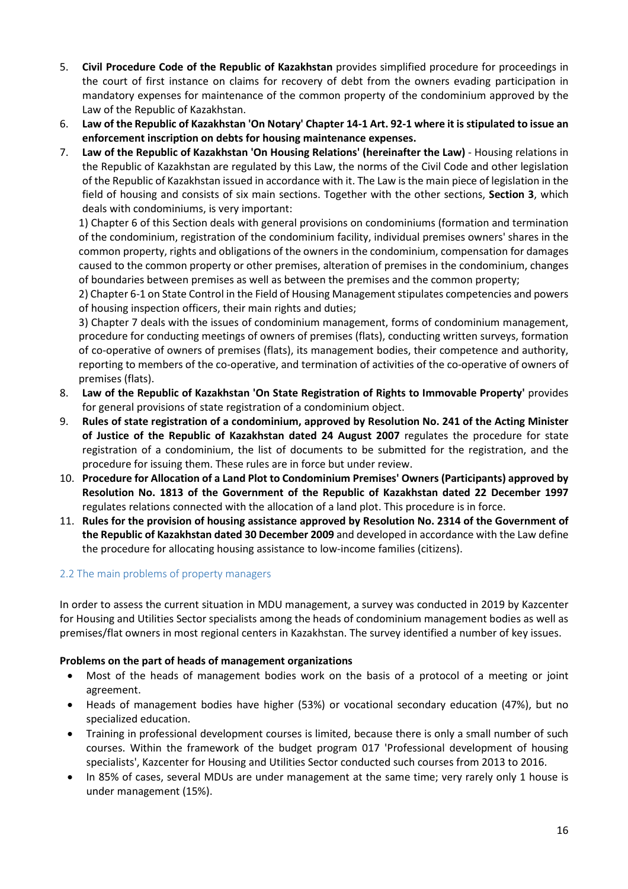- 5. **Civil Procedure Code of the Republic of Kazakhstan** provides simplified procedure for proceedings in the court of first instance on claims for recovery of debt from the owners evading participation in mandatory expenses for maintenance of the common property of the condominium approved by the Law of the Republic of Kazakhstan.
- 6. **Law of the Republic of Kazakhstan 'On Notary' Chapter 14-1 Art. 92-1 where it is stipulated to issue an enforcement inscription on debts for housing maintenance expenses.**
- 7. **Law of the Republic of Kazakhstan 'On Housing Relations' (hereinafter the Law)** Housing relations in the Republic of Kazakhstan are regulated by this Law, the norms of the Civil Code and other legislation of the Republic of Kazakhstan issued in accordance with it. The Law is the main piece of legislation in the field of housing and consists of six main sections. Together with the other sections, **Section 3**, which deals with condominiums, is very important:

1) Chapter 6 of this Section deals with general provisions on condominiums (formation and termination of the condominium, registration of the condominium facility, individual premises owners' shares in the common property, rights and obligations of the owners in the condominium, compensation for damages caused to the common property or other premises, alteration of premises in the condominium, changes of boundaries between premises as well as between the premises and the common property;

2) Chapter 6-1 on State Control in the Field of Housing Management stipulates competencies and powers of housing inspection officers, their main rights and duties;

3) Chapter 7 deals with the issues of condominium management, forms of condominium management, procedure for conducting meetings of owners of premises (flats), conducting written surveys, formation of co-operative of owners of premises (flats), its management bodies, their competence and authority, reporting to members of the co-operative, and termination of activities of the co-operative of owners of premises (flats).

- 8. **Law of the Republic of Kazakhstan 'On State Registration of Rights to Immovable Property'** provides for general provisions of state registration of a condominium object.
- 9. **Rules of state registration of a condominium, approved by Resolution No. 241 of the Acting Minister of Justice of the Republic of Kazakhstan dated 24 August 2007** regulates the procedure for state registration of a condominium, the list of documents to be submitted for the registration, and the procedure for issuing them. These rules are in force but under review.
- 10. **Procedure for Allocation of a Land Plot to Condominium Premises' Owners (Participants) approved by Resolution No. 1813 of the Government of the Republic of Kazakhstan dated 22 December 1997** regulates relations connected with the allocation of a land plot. This procedure is in force.
- 11. **Rules for the provision of housing assistance approved by Resolution No. 2314 of the Government of the Republic of Kazakhstan dated 30 December 2009** and developed in accordance with the Law define the procedure for allocating housing assistance to low-income families (citizens).

#### 2.2 The main problems of property managers

In order to assess the current situation in MDU management, a survey was conducted in 2019 by Kazcenter for Housing and Utilities Sector specialists among the heads of condominium management bodies as well as premises/flat owners in most regional centers in Kazakhstan. The survey identified a number of key issues.

#### **Problems on the part of heads of management organizations**

- Most of the heads of management bodies work on the basis of a protocol of a meeting or joint agreement.
- Heads of management bodies have higher (53%) or vocational secondary education (47%), but no specialized education.
- Training in professional development courses is limited, because there is only a small number of such courses. Within the framework of the budget program 017 'Professional development of housing specialists', Kazcenter for Housing and Utilities Sector conducted such courses from 2013 to 2016.
- In 85% of cases, several MDUs are under management at the same time; very rarely only 1 house is under management (15%).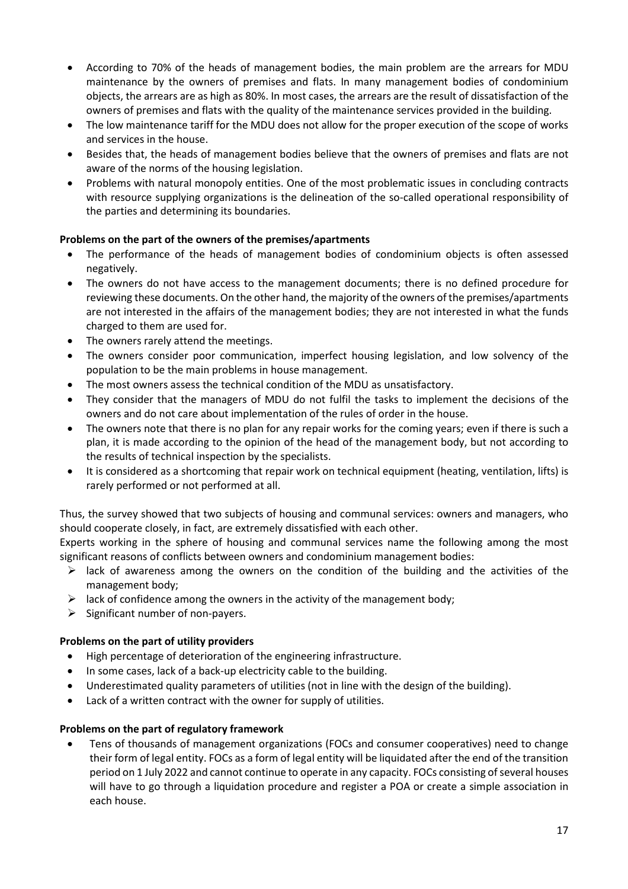- According to 70% of the heads of management bodies, the main problem are the arrears for MDU maintenance by the owners of premises and flats. In many management bodies of condominium objects, the arrears are as high as 80%. In most cases, the arrears are the result of dissatisfaction of the owners of premises and flats with the quality of the maintenance services provided in the building.
- The low maintenance tariff for the MDU does not allow for the proper execution of the scope of works and services in the house.
- Besides that, the heads of management bodies believe that the owners of premises and flats are not aware of the norms of the housing legislation.
- Problems with natural monopoly entities. One of the most problematic issues in concluding contracts with resource supplying organizations is the delineation of the so-called operational responsibility of the parties and determining its boundaries.

#### **Problems on the part of the owners of the premises/apartments**

- The performance of the heads of management bodies of condominium objects is often assessed negatively.
- The owners do not have access to the management documents; there is no defined procedure for reviewing these documents. On the other hand, the majority of the owners of the premises/apartments are not interested in the affairs of the management bodies; they are not interested in what the funds charged to them are used for.
- The owners rarely attend the meetings.
- The owners consider poor communication, imperfect housing legislation, and low solvency of the population to be the main problems in house management.
- The most owners assess the technical condition of the MDU as unsatisfactory.
- They consider that the managers of MDU do not fulfil the tasks to implement the decisions of the owners and do not care about implementation of the rules of order in the house.
- The owners note that there is no plan for any repair works for the coming years; even if there is such a plan, it is made according to the opinion of the head of the management body, but not according to the results of technical inspection by the specialists.
- It is considered as a shortcoming that repair work on technical equipment (heating, ventilation, lifts) is rarely performed or not performed at all.

Thus, the survey showed that two subjects of housing and communal services: owners and managers, who should cooperate closely, in fact, are extremely dissatisfied with each other.

Experts working in the sphere of housing and communal services name the following among the most significant reasons of conflicts between owners and condominium management bodies:

- $\triangleright$  lack of awareness among the owners on the condition of the building and the activities of the management body;
- $\triangleright$  lack of confidence among the owners in the activity of the management body;
- $\triangleright$  Significant number of non-payers.

#### **Problems on the part of utility providers**

- High percentage of deterioration of the engineering infrastructure.
- In some cases, lack of a back-up electricity cable to the building.
- Underestimated quality parameters of utilities (not in line with the design of the building).
- Lack of a written contract with the owner for supply of utilities.

#### **Problems on the part of regulatory framework**

 Tens of thousands of management organizations (FOCs and consumer cooperatives) need to change their form of legal entity. FOCs as a form of legal entity will be liquidated after the end of the transition period on 1 July 2022 and cannot continue to operate in any capacity. FOCs consisting of several houses will have to go through a liquidation procedure and register a POA or create a simple association in each house.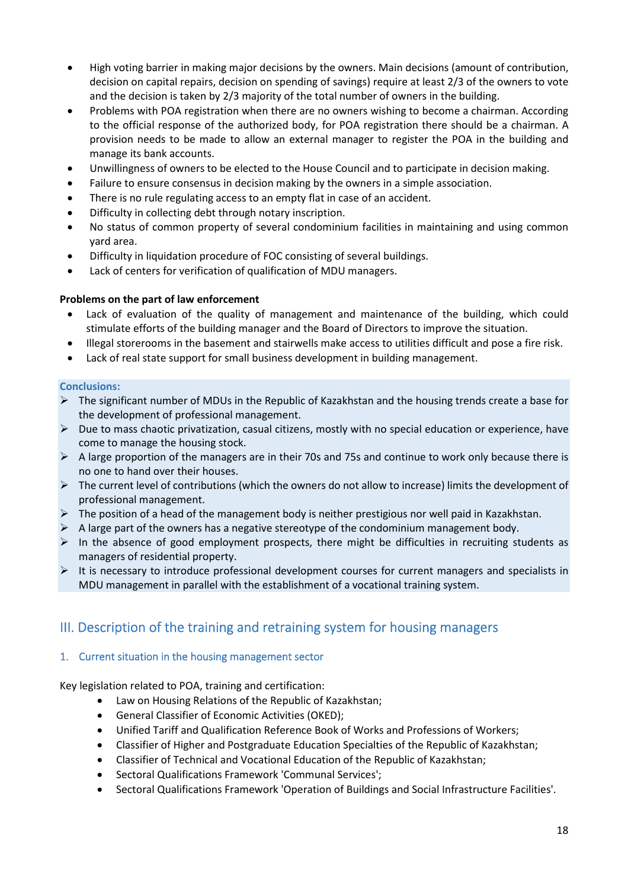- High voting barrier in making major decisions by the owners. Main decisions (amount of contribution, decision on capital repairs, decision on spending of savings) require at least 2/3 of the owners to vote and the decision is taken by 2/3 majority of the total number of owners in the building.
- Problems with POA registration when there are no owners wishing to become a chairman. According to the official response of the authorized body, for POA registration there should be a chairman. A provision needs to be made to allow an external manager to register the POA in the building and manage its bank accounts.
- Unwillingness of owners to be elected to the House Council and to participate in decision making.
- Failure to ensure consensus in decision making by the owners in a simple association.
- There is no rule regulating access to an empty flat in case of an accident.
- Difficulty in collecting debt through notary inscription.
- No status of common property of several condominium facilities in maintaining and using common yard area.
- Difficulty in liquidation procedure of FOC consisting of several buildings.
- Lack of centers for verification of qualification of MDU managers.

#### **Problems on the part of law enforcement**

- Lack of evaluation of the quality of management and maintenance of the building, which could stimulate efforts of the building manager and the Board of Directors to improve the situation.
- Illegal storerooms in the basement and stairwells make access to utilities difficult and pose a fire risk.
- Lack of real state support for small business development in building management.

#### **Conclusions:**

- The significant number of MDUs in the Republic of Kazakhstan and the housing trends create a base for the development of professional management.
- $\triangleright$  Due to mass chaotic privatization, casual citizens, mostly with no special education or experience, have come to manage the housing stock.
- $\triangleright$  A large proportion of the managers are in their 70s and 75s and continue to work only because there is no one to hand over their houses.
- $\triangleright$  The current level of contributions (which the owners do not allow to increase) limits the development of professional management.
- $\triangleright$  The position of a head of the management body is neither prestigious nor well paid in Kazakhstan.
- $\triangleright$  A large part of the owners has a negative stereotype of the condominium management body.
- $\triangleright$  In the absence of good employment prospects, there might be difficulties in recruiting students as managers of residential property.
- $\triangleright$  It is necessary to introduce professional development courses for current managers and specialists in MDU management in parallel with the establishment of a vocational training system.

### III. Description of the training and retraining system for housing managers

#### 1. Current situation in the housing management sector

Key legislation related to POA, training and certification:

- Law on Housing Relations of the Republic of Kazakhstan;
- General Classifier of Economic Activities (OKED);
- Unified Tariff and Qualification Reference Book of Works and Professions of Workers;
- Classifier of Higher and Postgraduate Education Specialties of the Republic of Kazakhstan;
- Classifier of Technical and Vocational Education of the Republic of Kazakhstan;
- Sectoral Qualifications Framework 'Communal Services';
- Sectoral Qualifications Framework 'Operation of Buildings and Social Infrastructure Facilities'.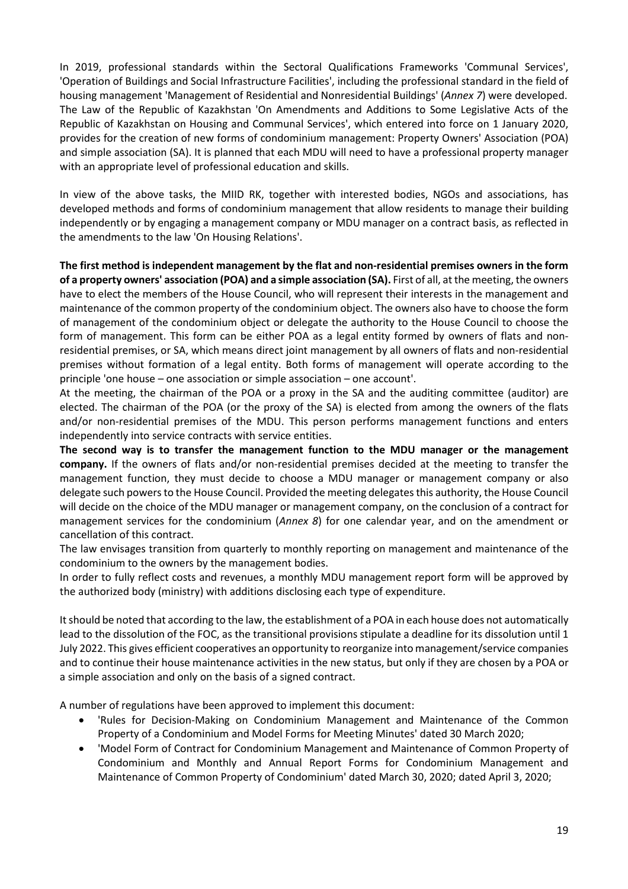In 2019, professional standards within the Sectoral Qualifications Frameworks 'Communal Services', 'Operation of Buildings and Social Infrastructure Facilities', including the professional standard in the field of housing management 'Management of Residential and Nonresidential Buildings' (*Annex 7*) were developed. The Law of the Republic of Kazakhstan 'On Amendments and Additions to Some Legislative Acts of the Republic of Kazakhstan on Housing and Communal Services', which entered into force on 1 January 2020, provides for the creation of new forms of condominium management: Property Owners' Association (POA) and simple association (SA). It is planned that each MDU will need to have a professional property manager with an appropriate level of professional education and skills.

In view of the above tasks, the MIID RK, together with interested bodies, NGOs and associations, has developed methods and forms of condominium management that allow residents to manage their building independently or by engaging a management company or MDU manager on a contract basis, as reflected in the amendments to the law 'On Housing Relations'.

**The first method is independent management by the flat and non-residential premises owners in the form of a property owners' association (POA) and a simple association (SA).** First of all, at the meeting, the owners have to elect the members of the House Council, who will represent their interests in the management and maintenance of the common property of the condominium object. The owners also have to choose the form of management of the condominium object or delegate the authority to the House Council to choose the form of management. This form can be either POA as a legal entity formed by owners of flats and nonresidential premises, or SA, which means direct joint management by all owners of flats and non-residential premises without formation of a legal entity. Both forms of management will operate according to the principle 'one house – one association or simple association – one account'.

At the meeting, the chairman of the POA or a proxy in the SA and the auditing committee (auditor) are elected. The chairman of the POA (or the proxy of the SA) is elected from among the owners of the flats and/or non-residential premises of the MDU. This person performs management functions and enters independently into service contracts with service entities.

**The second way is to transfer the management function to the MDU manager or the management company.** If the owners of flats and/or non-residential premises decided at the meeting to transfer the management function, they must decide to choose a MDU manager or management company or also delegate such powers to the House Council. Provided the meeting delegates this authority, the House Council will decide on the choice of the MDU manager or management company, on the conclusion of a contract for management services for the condominium (*Annex 8*) for one calendar year, and on the amendment or cancellation of this contract.

The law envisages transition from quarterly to monthly reporting on management and maintenance of the condominium to the owners by the management bodies.

In order to fully reflect costs and revenues, a monthly MDU management report form will be approved by the authorized body (ministry) with additions disclosing each type of expenditure.

It should be noted that according to the law, the establishment of a POA in each house does not automatically lead to the dissolution of the FOC, as the transitional provisions stipulate a deadline for its dissolution until 1 July 2022. This gives efficient cooperatives an opportunity to reorganize into management/service companies and to continue their house maintenance activities in the new status, but only if they are chosen by a POA or a simple association and only on the basis of a signed contract.

A number of regulations have been approved to implement this document:

- 'Rules for Decision-Making on Condominium Management and Maintenance of the Common Property of a Condominium and Model Forms for Meeting Minutes' dated 30 March 2020;
- 'Model Form of Contract for Condominium Management and Maintenance of Common Property of Condominium and Monthly and Annual Report Forms for Condominium Management and Maintenance of Common Property of Condominium' dated March 30, 2020; dated April 3, 2020;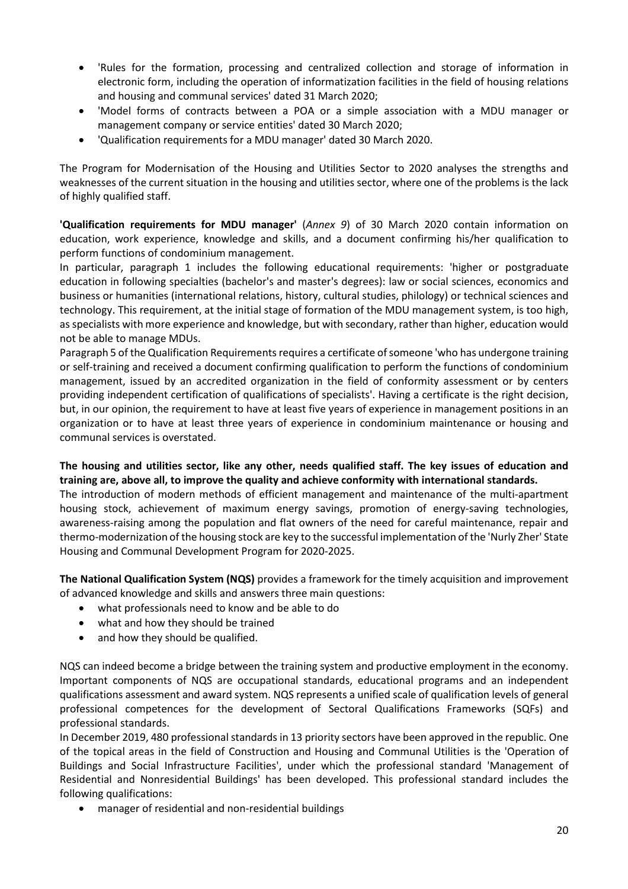- 'Rules for the formation, processing and centralized collection and storage of information in electronic form, including the operation of informatization facilities in the field of housing relations and housing and communal services' dated 31 March 2020;
- 'Model forms of contracts between a POA or a simple association with a MDU manager or management company or service entities' dated 30 March 2020;
- 'Qualification requirements for a MDU manager' dated 30 March 2020.

The Program for Modernisation of the Housing and Utilities Sector to 2020 analyses the strengths and weaknesses of the current situation in the housing and utilities sector, where one of the problems is the lack of highly qualified staff.

**'Qualification requirements for MDU manager'** (*Annex 9*) of 30 March 2020 contain information on education, work experience, knowledge and skills, and a document confirming his/her qualification to perform functions of condominium management.

In particular, paragraph 1 includes the following educational requirements: 'higher or postgraduate education in following specialties (bachelor's and master's degrees): law or social sciences, economics and business or humanities (international relations, history, cultural studies, philology) or technical sciences and technology. This requirement, at the initial stage of formation of the MDU management system, is too high, as specialists with more experience and knowledge, but with secondary, rather than higher, education would not be able to manage MDUs.

Paragraph 5 of the Qualification Requirements requires a certificate of someone 'who has undergone training or self-training and received a document confirming qualification to perform the functions of condominium management, issued by an accredited organization in the field of conformity assessment or by centers providing independent certification of qualifications of specialists'. Having a certificate is the right decision, but, in our opinion, the requirement to have at least five years of experience in management positions in an organization or to have at least three years of experience in condominium maintenance or housing and communal services is overstated.

**The housing and utilities sector, like any other, needs qualified staff. The key issues of education and training are, above all, to improve the quality and achieve conformity with international standards.** 

The introduction of modern methods of efficient management and maintenance of the multi-apartment housing stock, achievement of maximum energy savings, promotion of energy-saving technologies, awareness-raising among the population and flat owners of the need for careful maintenance, repair and thermo-modernization of the housing stock are key to the successful implementation of the 'Nurly Zher' State Housing and Communal Development Program for 2020-2025.

**The National Qualification System (NQS)** provides a framework for the timely acquisition and improvement of advanced knowledge and skills and answers three main questions:

- what professionals need to know and be able to do
- what and how they should be trained
- and how they should be qualified.

NQS can indeed become a bridge between the training system and productive employment in the economy. Important components of NQS are occupational standards, educational programs and an independent qualifications assessment and award system. NQS represents a unified scale of qualification levels of general professional competences for the development of Sectoral Qualifications Frameworks (SQFs) and professional standards.

In December 2019, 480 professional standards in 13 priority sectors have been approved in the republic. One of the topical areas in the field of Construction and Housing and Communal Utilities is the 'Operation of Buildings and Social Infrastructure Facilities', under which the professional standard 'Management of Residential and Nonresidential Buildings' has been developed. This professional standard includes the following qualifications:

manager of residential and non-residential buildings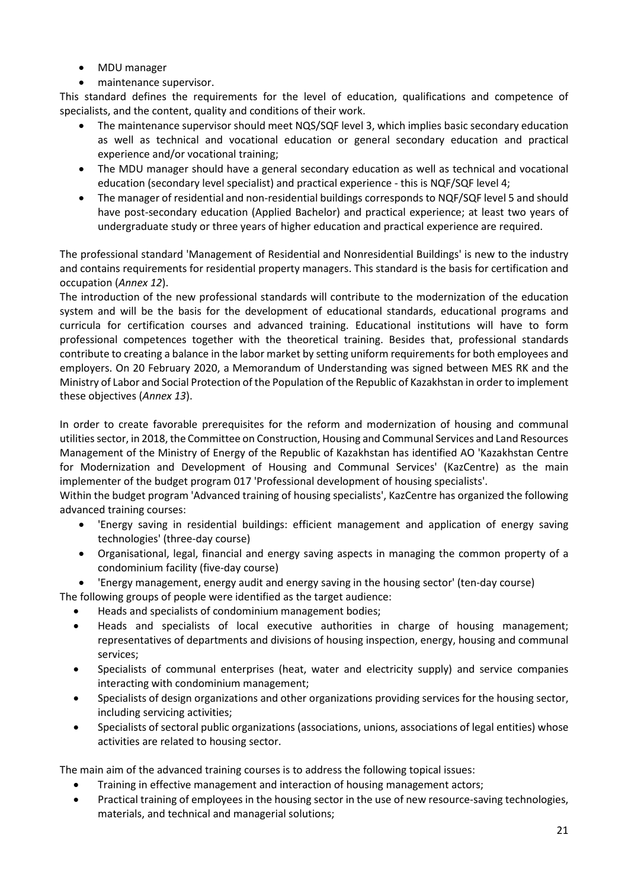- MDU manager
- maintenance supervisor.

This standard defines the requirements for the level of education, qualifications and competence of specialists, and the content, quality and conditions of their work.

- The maintenance supervisor should meet NQS/SQF level 3, which implies basic secondary education as well as technical and vocational education or general secondary education and practical experience and/or vocational training;
- The MDU manager should have a general secondary education as well as technical and vocational education (secondary level specialist) and practical experience - this is NQF/SQF level 4;
- The manager of residential and non-residential buildings corresponds to NQF/SQF level 5 and should have post-secondary education (Applied Bachelor) and practical experience; at least two years of undergraduate study or three years of higher education and practical experience are required.

The professional standard 'Management of Residential and Nonresidential Buildings' is new to the industry and contains requirements for residential property managers. This standard is the basis for certification and occupation (*Annex 12*).

The introduction of the new professional standards will contribute to the modernization of the education system and will be the basis for the development of educational standards, educational programs and curricula for certification courses and advanced training. Educational institutions will have to form professional competences together with the theoretical training. Besides that, professional standards contribute to creating a balance in the labor market by setting uniform requirements for both employees and employers. On 20 February 2020, a Memorandum of Understanding was signed between MES RK and the Ministry of Labor and Social Protection of the Population of the Republic of Kazakhstan in order to implement these objectives (*Annex 13*).

In order to create favorable prerequisites for the reform and modernization of housing and communal utilities sector, in 2018, the Committee on Construction, Housing and Communal Services and Land Resources Management of the Ministry of Energy of the Republic of Kazakhstan has identified AO 'Kazakhstan Centre for Modernization and Development of Housing and Communal Services' (KazCentre) as the main implementer of the budget program 017 'Professional development of housing specialists'.

Within the budget program 'Advanced training of housing specialists', KazCentre has organized the following advanced training courses:

- 'Energy saving in residential buildings: efficient management and application of energy saving technologies' (three-day course)
- Organisational, legal, financial and energy saving aspects in managing the common property of a condominium facility (five-day course)
- 'Energy management, energy audit and energy saving in the housing sector' (ten-day course)

The following groups of people were identified as the target audience:

- Heads and specialists of condominium management bodies;
- Heads and specialists of local executive authorities in charge of housing management; representatives of departments and divisions of housing inspection, energy, housing and communal services;
- Specialists of communal enterprises (heat, water and electricity supply) and service companies interacting with condominium management;
- Specialists of design organizations and other organizations providing services for the housing sector, including servicing activities;
- Specialists of sectoral public organizations (associations, unions, associations of legal entities) whose activities are related to housing sector.

The main aim of the advanced training courses is to address the following topical issues:

- Training in effective management and interaction of housing management actors;
- Practical training of employees in the housing sector in the use of new resource-saving technologies, materials, and technical and managerial solutions;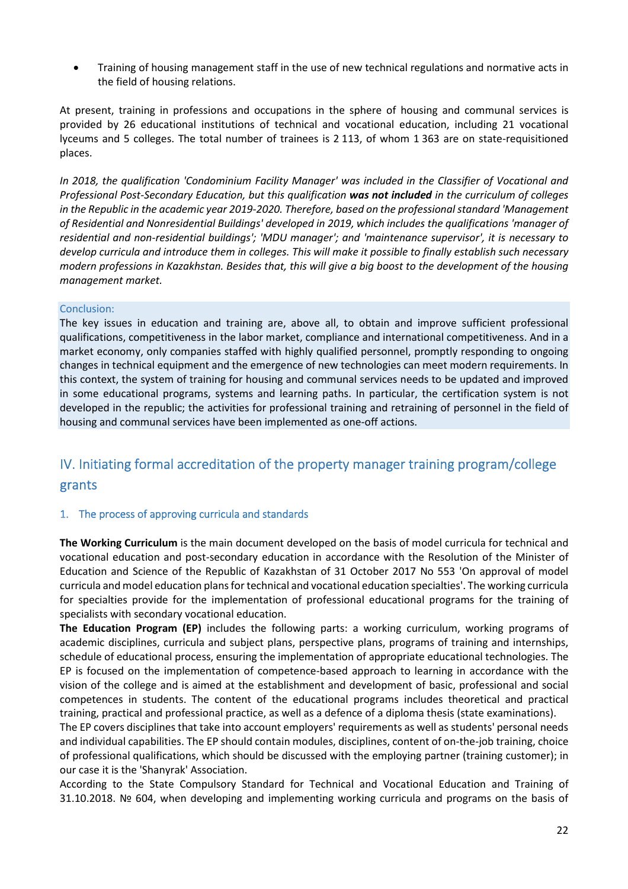Training of housing management staff in the use of new technical regulations and normative acts in the field of housing relations.

At present, training in professions and occupations in the sphere of housing and communal services is provided by 26 educational institutions of technical and vocational education, including 21 vocational lyceums and 5 colleges. The total number of trainees is 2 113, of whom 1 363 are on state-requisitioned places.

*In 2018, the qualification 'Condominium Facility Manager' was included in the Classifier of Vocational and Professional Post-Secondary Education, but this qualification was not included in the curriculum of colleges in the Republic in the academic year 2019-2020. Therefore, based on the professional standard 'Management of Residential and Nonresidential Buildings' developed in 2019, which includes the qualifications 'manager of residential and non-residential buildings'; 'MDU manager'; and 'maintenance supervisor', it is necessary to develop curricula and introduce them in colleges. This will make it possible to finally establish such necessary modern professions in Kazakhstan. Besides that, this will give a big boost to the development of the housing management market.* 

#### Conclusion:

The key issues in education and training are, above all, to obtain and improve sufficient professional qualifications, competitiveness in the labor market, compliance and international competitiveness. And in a market economy, only companies staffed with highly qualified personnel, promptly responding to ongoing changes in technical equipment and the emergence of new technologies can meet modern requirements. In this context, the system of training for housing and communal services needs to be updated and improved in some educational programs, systems and learning paths. In particular, the certification system is not developed in the republic; the activities for professional training and retraining of personnel in the field of housing and communal services have been implemented as one-off actions.

# IV. Initiating formal accreditation of the property manager training program/college grants

#### 1. The process of approving curricula and standards

**The Working Curriculum** is the main document developed on the basis of model curricula for technical and vocational education and post-secondary education in accordance with the Resolution of the Minister of Education and Science of the Republic of Kazakhstan of 31 October 2017 No 553 'On approval of model curricula and model education plans for technical and vocational education specialties'. The working curricula for specialties provide for the implementation of professional educational programs for the training of specialists with secondary vocational education.

**The Education Program (EP)** includes the following parts: a working curriculum, working programs of academic disciplines, curricula and subject plans, perspective plans, programs of training and internships, schedule of educational process, ensuring the implementation of appropriate educational technologies. The EP is focused on the implementation of competence-based approach to learning in accordance with the vision of the college and is aimed at the establishment and development of basic, professional and social competences in students. The content of the educational programs includes theoretical and practical training, practical and professional practice, as well as a defence of a diploma thesis (state examinations).

The EP covers disciplines that take into account employers' requirements as well as students' personal needs and individual capabilities. The EP should contain modules, disciplines, content of on-the-job training, choice of professional qualifications, which should be discussed with the employing partner (training customer); in our case it is the 'Shanyrak' Association.

According to the State Compulsory Standard for Technical and Vocational Education and Training of 31.10.2018. № 604, when developing and implementing working curricula and programs on the basis of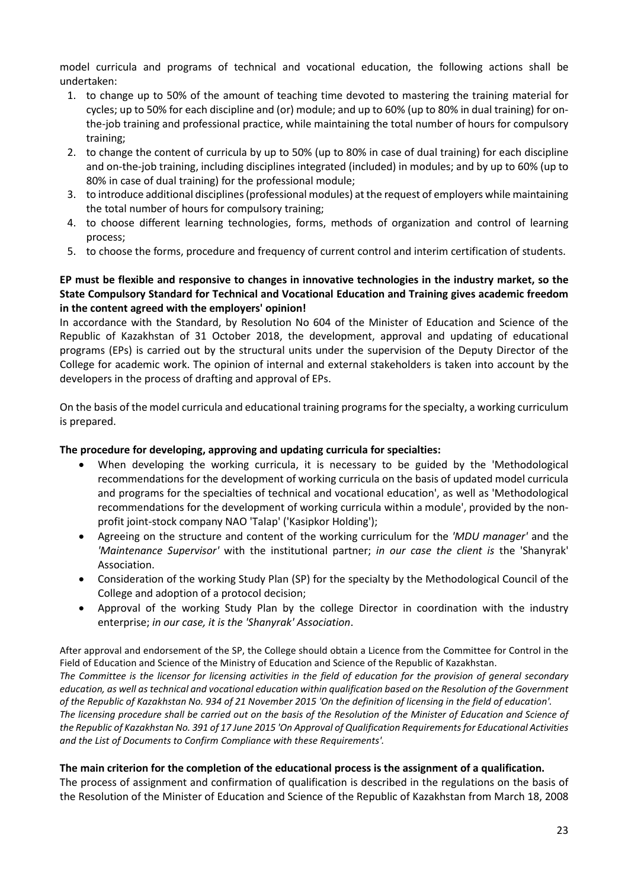model curricula and programs of technical and vocational education, the following actions shall be undertaken:

- 1. to change up to 50% of the amount of teaching time devoted to mastering the training material for cycles; up to 50% for each discipline and (or) module; and up to 60% (up to 80% in dual training) for onthe-job training and professional practice, while maintaining the total number of hours for compulsory training;
- 2. to change the content of curricula by up to 50% (up to 80% in case of dual training) for each discipline and on-the-job training, including disciplines integrated (included) in modules; and by up to 60% (up to 80% in case of dual training) for the professional module;
- 3. to introduce additional disciplines (professional modules) at the request of employers while maintaining the total number of hours for compulsory training;
- 4. to choose different learning technologies, forms, methods of organization and control of learning process;
- 5. to choose the forms, procedure and frequency of current control and interim certification of students.

#### **EP must be flexible and responsive to changes in innovative technologies in the industry market, so the State Compulsory Standard for Technical and Vocational Education and Training gives academic freedom in the content agreed with the employers' opinion!**

In accordance with the Standard, by Resolution No 604 of the Minister of Education and Science of the Republic of Kazakhstan of 31 October 2018, the development, approval and updating of educational programs (EPs) is carried out by the structural units under the supervision of the Deputy Director of the College for academic work. The opinion of internal and external stakeholders is taken into account by the developers in the process of drafting and approval of EPs.

On the basis of the model curricula and educational training programs for the specialty, a working curriculum is prepared.

#### **The procedure for developing, approving and updating curricula for specialties:**

- When developing the working curricula, it is necessary to be guided by the 'Methodological recommendations for the development of working curricula on the basis of updated model curricula and programs for the specialties of technical and vocational education', as well as 'Methodological recommendations for the development of working curricula within a module', provided by the nonprofit joint-stock company NAO 'Talap' ('Kasipkor Holding');
- Agreeing on the structure and content of the working curriculum for the *'MDU manager'* and the *'Maintenance Supervisor'* with the institutional partner; *in our case the client is* the 'Shanyrak' Association.
- Consideration of the working Study Plan (SP) for the specialty by the Methodological Council of the College and adoption of a protocol decision;
- Approval of the working Study Plan by the college Director in coordination with the industry enterprise; *in our case, it is the 'Shanyrak' Association*.

After approval and endorsement of the SP, the College should obtain a Licence from the Committee for Control in the Field of Education and Science of the Ministry of Education and Science of the Republic of Kazakhstan. *The Committee is the licensor for licensing activities in the field of education for the provision of general secondary education, as well as technical and vocational education within qualification based on the Resolution of the Government of the Republic of Kazakhstan No. 934 of 21 November 2015 'On the definition of licensing in the field of education'. The licensing procedure shall be carried out on the basis of the Resolution of the Minister of Education and Science of the Republic of Kazakhstan No. 391 of 17 June 2015 'On Approval of Qualification Requirements for Educational Activities and the List of Documents to Confirm Compliance with these Requirements'.* 

#### **The main criterion for the completion of the educational process is the assignment of a qualification.**

The process of assignment and confirmation of qualification is described in the regulations on the basis of the Resolution of the Minister of Education and Science of the Republic of Kazakhstan from March 18, 2008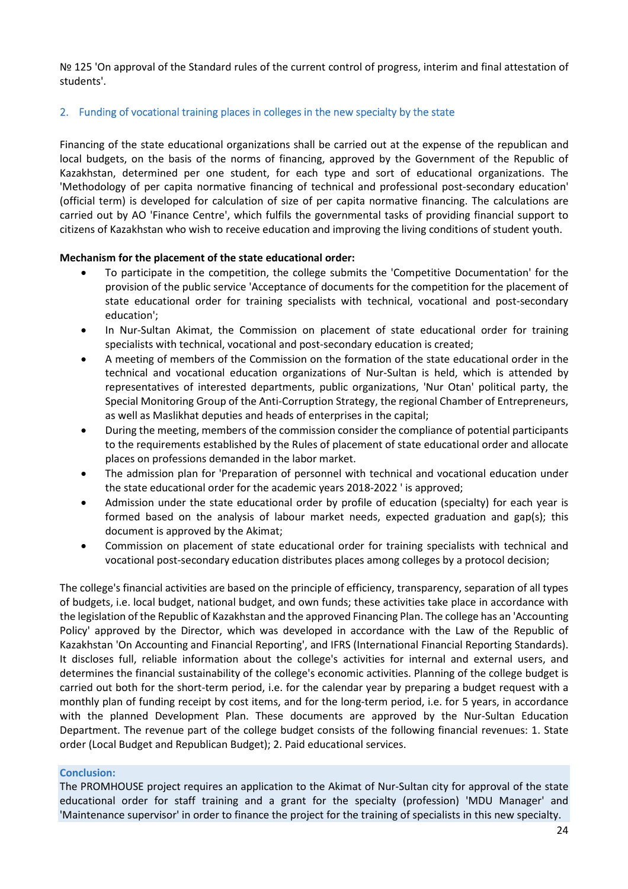Nº 125 'On approval of the Standard rules of the current control of progress, interim and final attestation of students'.

#### 2. Funding of vocational training places in colleges in the new specialty by the state

Financing of the state educational organizations shall be carried out at the expense of the republican and local budgets, on the basis of the norms of financing, approved by the Government of the Republic of Kazakhstan, determined per one student, for each type and sort of educational organizations. The 'Methodology of per capita normative financing of technical and professional post-secondary education' (official term) is developed for calculation of size of per capita normative financing. The calculations are carried out by AO 'Finance Centre', which fulfils the governmental tasks of providing financial support to citizens of Kazakhstan who wish to receive education and improving the living conditions of student youth.

#### **Mechanism for the placement of the state educational order:**

- To participate in the competition, the college submits the 'Competitive Documentation' for the provision of the public service 'Acceptance of documents for the competition for the placement of state educational order for training specialists with technical, vocational and post-secondary education';
- In Nur-Sultan Akimat, the Commission on placement of state educational order for training specialists with technical, vocational and post-secondary education is created;
- A meeting of members of the Commission on the formation of the state educational order in the technical and vocational education organizations of Nur-Sultan is held, which is attended by representatives of interested departments, public organizations, 'Nur Otan' political party, the Special Monitoring Group of the Anti-Corruption Strategy, the regional Chamber of Entrepreneurs, as well as Maslikhat deputies and heads of enterprises in the capital;
- During the meeting, members of the commission consider the compliance of potential participants to the requirements established by the Rules of placement of state educational order and allocate places on professions demanded in the labor market.
- The admission plan for 'Preparation of personnel with technical and vocational education under the state educational order for the academic years 2018-2022 ' is approved;
- Admission under the state educational order by profile of education (specialty) for each year is formed based on the analysis of labour market needs, expected graduation and gap(s); this document is approved by the Akimat;
- Commission on placement of state educational order for training specialists with technical and vocational post-secondary education distributes places among colleges by a protocol decision;

The college's financial activities are based on the principle of efficiency, transparency, separation of all types of budgets, i.e. local budget, national budget, and own funds; these activities take place in accordance with the legislation of the Republic of Kazakhstan and the approved Financing Plan. The college has an 'Accounting Policy' approved by the Director, which was developed in accordance with the Law of the Republic of Kazakhstan 'On Accounting and Financial Reporting', and IFRS (International Financial Reporting Standards). It discloses full, reliable information about the college's activities for internal and external users, and determines the financial sustainability of the college's economic activities. Planning of the college budget is carried out both for the short-term period, i.e. for the calendar year by preparing a budget request with a monthly plan of funding receipt by cost items, and for the long-term period, i.e. for 5 years, in accordance with the planned Development Plan. These documents are approved by the Nur-Sultan Education Department. The revenue part of the college budget consists of the following financial revenues: 1. State order (Local Budget and Republican Budget); 2. Paid educational services.

#### **Conclusion:**

The PROMHOUSE project requires an application to the Akimat of Nur-Sultan city for approval of the state educational order for staff training and a grant for the specialty (profession) 'MDU Manager' and 'Maintenance supervisor' in order to finance the project for the training of specialists in this new specialty.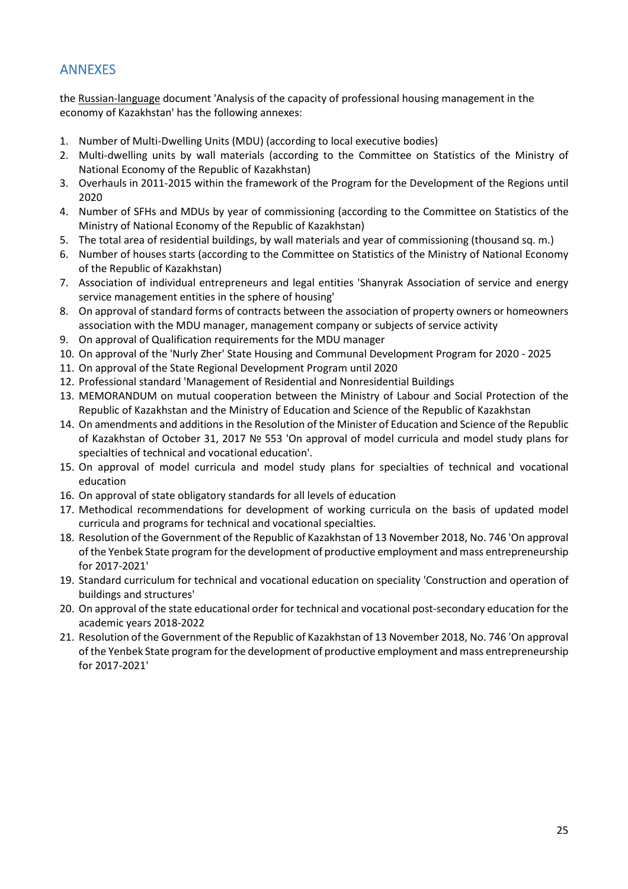## ANNEXES

the Russian-language document 'Analysis of the capacity of professional housing management in the economy of Kazakhstan' has the following annexes:

- 1. Number of Multi-Dwelling Units (MDU) (according to local executive bodies)
- 2. Multi-dwelling units by wall materials (according to the Committee on Statistics of the Ministry of National Economy of the Republic of Kazakhstan)
- 3. Overhauls in 2011-2015 within the framework of the Program for the Development of the Regions until 2020
- 4. Number of SFHs and MDUs by year of commissioning (according to the Committee on Statistics of the Ministry of National Economy of the Republic of Kazakhstan)
- 5. The total area of residential buildings, by wall materials and year of commissioning (thousand sq. m.)
- 6. Number of houses starts (according to the Committee on Statistics of the Ministry of National Economy of the Republic of Kazakhstan)
- 7. Association of individual entrepreneurs and legal entities 'Shanyrak Association of service and energy service management entities in the sphere of housing'
- 8. On approval of standard forms of contracts between the association of property owners or homeowners association with the MDU manager, management company or subjects of service activity
- 9. On approval of Qualification requirements for the MDU manager
- 10. On approval of the 'Nurly Zher' State Housing and Communal Development Program for 2020 2025
- 11. On approval of the State Regional Development Program until 2020
- 12. Professional standard 'Management of Residential and Nonresidential Buildings
- 13. MEMORANDUM on mutual cooperation between the Ministry of Labour and Social Protection of the Republic of Kazakhstan and the Ministry of Education and Science of the Republic of Kazakhstan
- 14. On amendments and additions in the Resolution of the Minister of Education and Science of the Republic of Kazakhstan of October 31, 2017 № 553 'On approval of model curricula and model study plans for specialties of technical and vocational education'.
- 15. On approval of model curricula and model study plans for specialties of technical and vocational education
- 16. On approval of state obligatory standards for all levels of education
- 17. Methodical recommendations for development of working curricula on the basis of updated model curricula and programs for technical and vocational specialties.
- 18. Resolution of the Government of the Republic of Kazakhstan of 13 November 2018, No. 746 'On approval of the Yenbek State program for the development of productive employment and mass entrepreneurship for 2017-2021'
- 19. Standard curriculum for technical and vocational education on speciality 'Construction and operation of buildings and structures'
- 20. On approval of the state educational order for technical and vocational post-secondary education for the academic years 2018-2022
- 21. Resolution of the Government of the Republic of Kazakhstan of 13 November 2018, No. 746 'On approval of the Yenbek State program for the development of productive employment and mass entrepreneurship for 2017-2021'